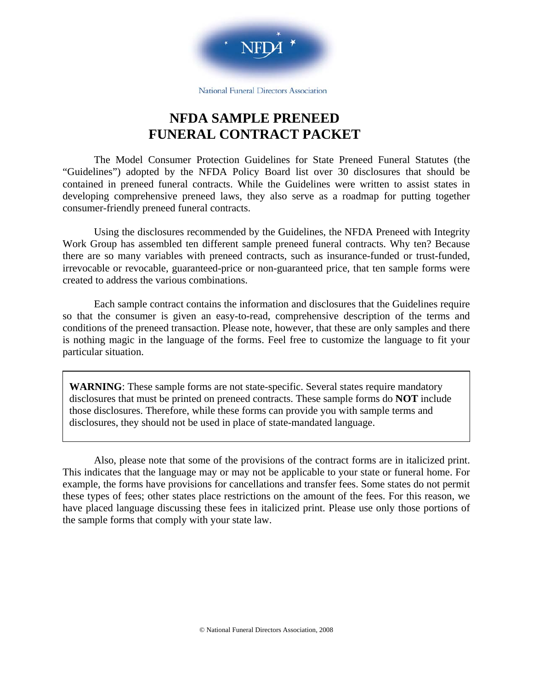

National Funeral Directors Association

# **NFDA SAMPLE PRENEED FUNERAL CONTRACT PACKET**

The Model Consumer Protection Guidelines for State Preneed Funeral Statutes (the "Guidelines") adopted by the NFDA Policy Board list over 30 disclosures that should be contained in preneed funeral contracts. While the Guidelines were written to assist states in developing comprehensive preneed laws, they also serve as a roadmap for putting together consumer-friendly preneed funeral contracts.

Using the disclosures recommended by the Guidelines, the NFDA Preneed with Integrity Work Group has assembled ten different sample preneed funeral contracts. Why ten? Because there are so many variables with preneed contracts, such as insurance-funded or trust-funded, irrevocable or revocable, guaranteed-price or non-guaranteed price, that ten sample forms were created to address the various combinations.

Each sample contract contains the information and disclosures that the Guidelines require so that the consumer is given an easy-to-read, comprehensive description of the terms and conditions of the preneed transaction. Please note, however, that these are only samples and there is nothing magic in the language of the forms. Feel free to customize the language to fit your particular situation.

**WARNING**: These sample forms are not state-specific. Several states require mandatory disclosures that must be printed on preneed contracts. These sample forms do **NOT** include those disclosures. Therefore, while these forms can provide you with sample terms and disclosures, they should not be used in place of state-mandated language.

Also, please note that some of the provisions of the contract forms are in italicized print. This indicates that the language may or may not be applicable to your state or funeral home. For example, the forms have provisions for cancellations and transfer fees. Some states do not permit these types of fees; other states place restrictions on the amount of the fees. For this reason, we have placed language discussing these fees in italicized print. Please use only those portions of the sample forms that comply with your state law.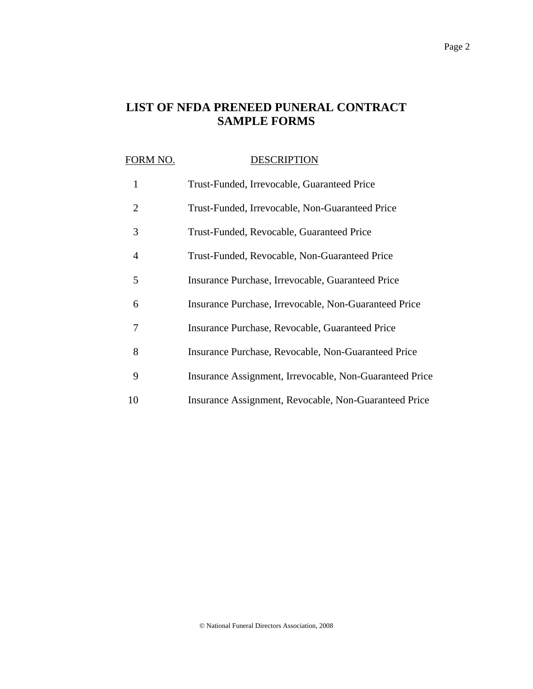## **LIST OF NFDA PRENEED PUNERAL CONTRACT SAMPLE FORMS**

# FORM NO. DESCRIPTION 1 Trust-Funded, Irrevocable, Guaranteed Price 2 Trust-Funded, Irrevocable, Non-Guaranteed Price 3 Trust-Funded, Revocable, Guaranteed Price 4 Trust-Funded, Revocable, Non-Guaranteed Price 5 Insurance Purchase, Irrevocable, Guaranteed Price 6 Insurance Purchase, Irrevocable, Non-Guaranteed Price 7 Insurance Purchase, Revocable, Guaranteed Price 8 Insurance Purchase, Revocable, Non-Guaranteed Price 9 Insurance Assignment, Irrevocable, Non-Guaranteed Price 10 Insurance Assignment, Revocable, Non-Guaranteed Price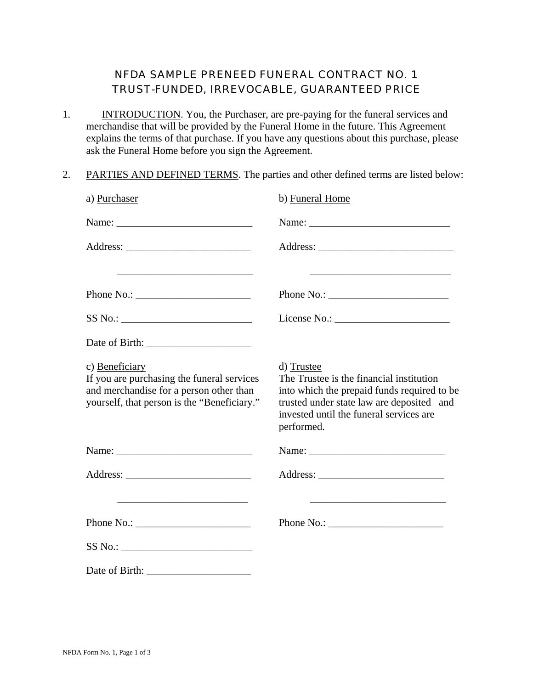#### NFDA SAMPLE PRENEED FUNERAL CONTRACT NO. 1 TRUST-FUNDED, IRREVOCABLE, GUARANTEED PRICE

- 1. INTRODUCTION. You, the Purchaser, are pre-paying for the funeral services and merchandise that will be provided by the Funeral Home in the future. This Agreement explains the terms of that purchase. If you have any questions about this purchase, please ask the Funeral Home before you sign the Agreement.
- 2. PARTIES AND DEFINED TERMS. The parties and other defined terms are listed below:

| a) Purchaser                                                                                                                                                        | b) Funeral Home                                                                                                                                                                                             |
|---------------------------------------------------------------------------------------------------------------------------------------------------------------------|-------------------------------------------------------------------------------------------------------------------------------------------------------------------------------------------------------------|
|                                                                                                                                                                     |                                                                                                                                                                                                             |
|                                                                                                                                                                     |                                                                                                                                                                                                             |
|                                                                                                                                                                     |                                                                                                                                                                                                             |
|                                                                                                                                                                     |                                                                                                                                                                                                             |
|                                                                                                                                                                     |                                                                                                                                                                                                             |
|                                                                                                                                                                     |                                                                                                                                                                                                             |
| c) Beneficiary<br>If you are purchasing the funeral services<br>and merchandise for a person other than<br>yourself, that person is the "Beneficiary."              | d) Trustee<br>The Trustee is the financial institution<br>into which the prepaid funds required to be<br>trusted under state law are deposited and<br>invested until the funeral services are<br>performed. |
|                                                                                                                                                                     |                                                                                                                                                                                                             |
|                                                                                                                                                                     |                                                                                                                                                                                                             |
| <u> 1989 - Johann John Stone, markin film yn y brening yn y brening yn y brening yn y brening yn y brening yn y b</u>                                               | <u> 1989 - Johann Harry Harry Harry Harry Harry Harry Harry Harry Harry Harry Harry Harry Harry Harry Harry Harry</u>                                                                                       |
| Phone No.: $\sqrt{\frac{2}{1-\frac{1}{2}} \cdot \frac{1}{2-\frac{1}{2}} \cdot \frac{1}{2-\frac{1}{2}} \cdot \frac{1}{2-\frac{1}{2}} \cdot \frac{1}{2-\frac{1}{2}}}$ |                                                                                                                                                                                                             |
|                                                                                                                                                                     |                                                                                                                                                                                                             |
|                                                                                                                                                                     |                                                                                                                                                                                                             |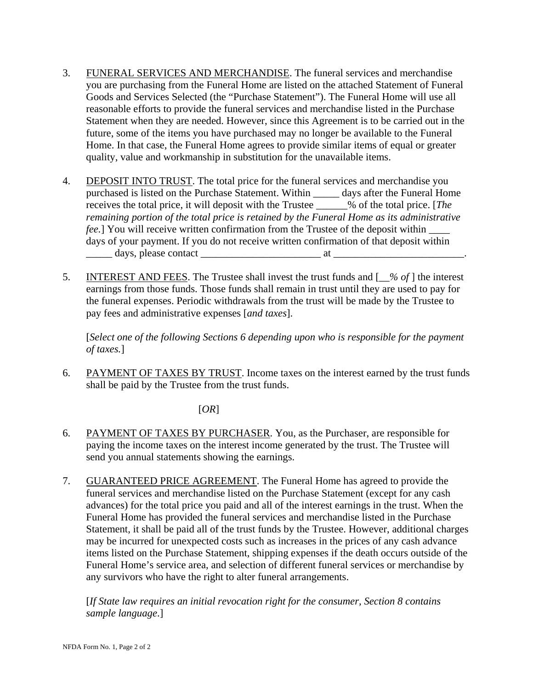- 3. FUNERAL SERVICES AND MERCHANDISE. The funeral services and merchandise you are purchasing from the Funeral Home are listed on the attached Statement of Funeral Goods and Services Selected (the "Purchase Statement"). The Funeral Home will use all reasonable efforts to provide the funeral services and merchandise listed in the Purchase Statement when they are needed. However, since this Agreement is to be carried out in the future, some of the items you have purchased may no longer be available to the Funeral Home. In that case, the Funeral Home agrees to provide similar items of equal or greater quality, value and workmanship in substitution for the unavailable items.
- 4. DEPOSIT INTO TRUST. The total price for the funeral services and merchandise you purchased is listed on the Purchase Statement. Within \_\_\_\_\_ days after the Funeral Home receives the total price, it will deposit with the Trustee \_\_\_\_\_\_% of the total price. [*The remaining portion of the total price is retained by the Funeral Home as its administrative fee.*] You will receive written confirmation from the Trustee of the deposit within days of your payment. If you do not receive written confirmation of that deposit within  $\frac{1}{2}$  days, please contact  $\frac{1}{2}$  at  $\frac{1}{2}$
- 5. INTEREST AND FEES. The Trustee shall invest the trust funds and [*\_\_% of* ] the interest earnings from those funds. Those funds shall remain in trust until they are used to pay for the funeral expenses. Periodic withdrawals from the trust will be made by the Trustee to pay fees and administrative expenses [*and taxes*].

[*Select one of the following Sections 6 depending upon who is responsible for the payment of taxes.*]

6. PAYMENT OF TAXES BY TRUST. Income taxes on the interest earned by the trust funds shall be paid by the Trustee from the trust funds.

#### [*OR*]

- 6. PAYMENT OF TAXES BY PURCHASER. You, as the Purchaser, are responsible for paying the income taxes on the interest income generated by the trust. The Trustee will send you annual statements showing the earnings.
- 7. GUARANTEED PRICE AGREEMENT. The Funeral Home has agreed to provide the funeral services and merchandise listed on the Purchase Statement (except for any cash advances) for the total price you paid and all of the interest earnings in the trust. When the Funeral Home has provided the funeral services and merchandise listed in the Purchase Statement, it shall be paid all of the trust funds by the Trustee. However, additional charges may be incurred for unexpected costs such as increases in the prices of any cash advance items listed on the Purchase Statement, shipping expenses if the death occurs outside of the Funeral Home's service area, and selection of different funeral services or merchandise by any survivors who have the right to alter funeral arrangements.

[*If State law requires an initial revocation right for the consumer, Section 8 contains sample language*.]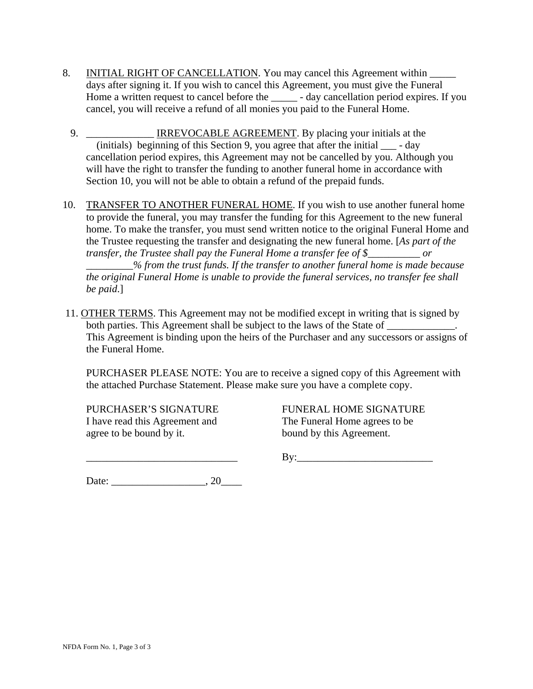- 8. INITIAL RIGHT OF CANCELLATION. You may cancel this Agreement within days after signing it. If you wish to cancel this Agreement, you must give the Funeral Home a written request to cancel before the \_\_\_\_\_ - day cancellation period expires. If you cancel, you will receive a refund of all monies you paid to the Funeral Home.
	- 9. \_\_\_\_\_\_\_\_\_\_\_\_\_ IRREVOCABLE AGREEMENT. By placing your initials at the (initials) beginning of this Section 9, you agree that after the initial \_\_\_ - day cancellation period expires, this Agreement may not be cancelled by you. Although you will have the right to transfer the funding to another funeral home in accordance with Section 10, you will not be able to obtain a refund of the prepaid funds.
- 10. TRANSFER TO ANOTHER FUNERAL HOME. If you wish to use another funeral home to provide the funeral, you may transfer the funding for this Agreement to the new funeral home. To make the transfer, you must send written notice to the original Funeral Home and the Trustee requesting the transfer and designating the new funeral home. [*As part of the transfer, the Trustee shall pay the Funeral Home a transfer fee of \$\_\_\_\_\_\_\_\_\_\_ or*

*\_\_\_\_\_\_\_\_\_% from the trust funds. If the transfer to another funeral home is made because the original Funeral Home is unable to provide the funeral services, no transfer fee shall be paid*.]

 11. OTHER TERMS. This Agreement may not be modified except in writing that is signed by both parties. This Agreement shall be subject to the laws of the State of  $\Box$ This Agreement is binding upon the heirs of the Purchaser and any successors or assigns of the Funeral Home.

PURCHASER PLEASE NOTE: You are to receive a signed copy of this Agreement with the attached Purchase Statement. Please make sure you have a complete copy.

I have read this Agreement and The Funeral Home agrees to be agree to be bound by it. bound by this Agreement.

PURCHASER'S SIGNATURE FUNERAL HOME SIGNATURE

 $\rm\,By:$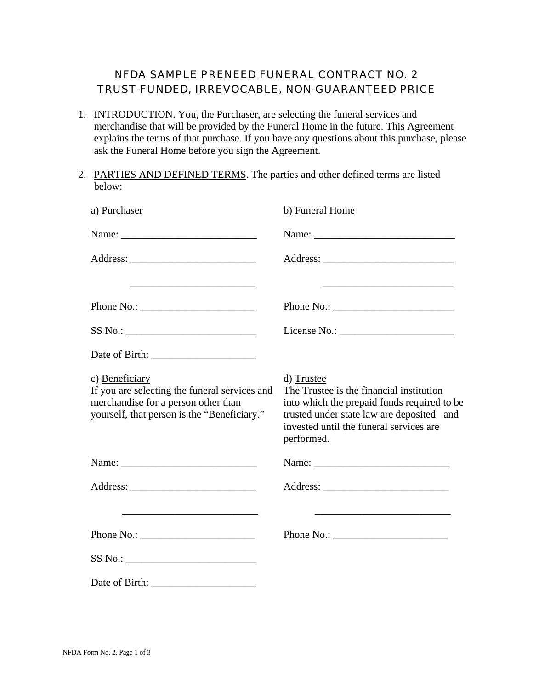#### NFDA SAMPLE PRENEED FUNERAL CONTRACT NO. 2 TRUST-FUNDED, IRREVOCABLE, NON-GUARANTEED PRICE

- 1. INTRODUCTION. You, the Purchaser, are selecting the funeral services and merchandise that will be provided by the Funeral Home in the future. This Agreement explains the terms of that purchase. If you have any questions about this purchase, please ask the Funeral Home before you sign the Agreement.
- 2. PARTIES AND DEFINED TERMS. The parties and other defined terms are listed below:

| a) Purchaser                                                                                                                                          | b) Funeral Home                                                                                                                                                                                                           |
|-------------------------------------------------------------------------------------------------------------------------------------------------------|---------------------------------------------------------------------------------------------------------------------------------------------------------------------------------------------------------------------------|
|                                                                                                                                                       |                                                                                                                                                                                                                           |
|                                                                                                                                                       |                                                                                                                                                                                                                           |
|                                                                                                                                                       | Phone No.: $\qquad \qquad$                                                                                                                                                                                                |
|                                                                                                                                                       |                                                                                                                                                                                                                           |
|                                                                                                                                                       |                                                                                                                                                                                                                           |
| c) Beneficiary<br>If you are selecting the funeral services and<br>merchandise for a person other than<br>yourself, that person is the "Beneficiary." | d) Trustee<br>The Trustee is the financial institution<br>into which the prepaid funds required to be<br>trusted under state law are deposited and<br>invested until the funeral services are<br>performed.               |
|                                                                                                                                                       |                                                                                                                                                                                                                           |
|                                                                                                                                                       |                                                                                                                                                                                                                           |
| <u> 1989 - Andrea Stadt Britain, amerikansk politik (</u><br>Phone No.: $\frac{1}{2}$                                                                 | <u> 2008 - Johann Barn, amerikansk politiker (</u><br>Phone No.: $\sqrt{\frac{2}{1-\frac{1}{2}} \cdot \frac{1}{2-\frac{1}{2}} \cdot \frac{1}{2-\frac{1}{2}} \cdot \frac{1}{2-\frac{1}{2}} \cdot \frac{1}{2-\frac{1}{2}}}$ |
|                                                                                                                                                       |                                                                                                                                                                                                                           |
|                                                                                                                                                       |                                                                                                                                                                                                                           |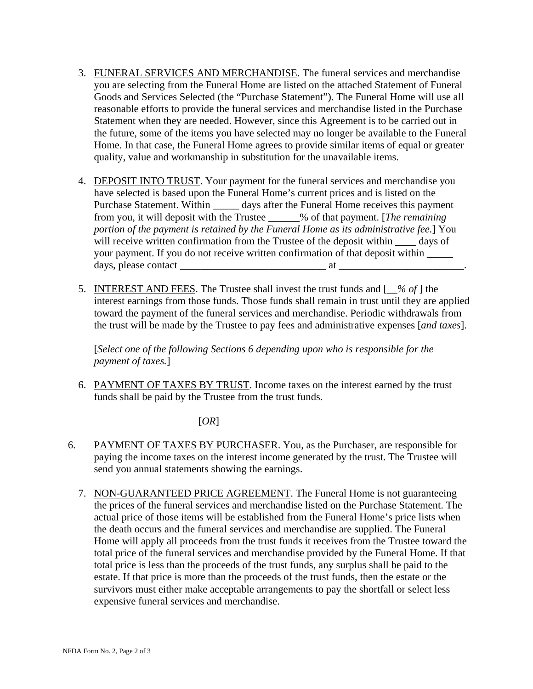- 3. FUNERAL SERVICES AND MERCHANDISE. The funeral services and merchandise you are selecting from the Funeral Home are listed on the attached Statement of Funeral Goods and Services Selected (the "Purchase Statement"). The Funeral Home will use all reasonable efforts to provide the funeral services and merchandise listed in the Purchase Statement when they are needed. However, since this Agreement is to be carried out in the future, some of the items you have selected may no longer be available to the Funeral Home. In that case, the Funeral Home agrees to provide similar items of equal or greater quality, value and workmanship in substitution for the unavailable items.
- 4. DEPOSIT INTO TRUST. Your payment for the funeral services and merchandise you have selected is based upon the Funeral Home's current prices and is listed on the Purchase Statement. Within \_\_\_\_\_\_ days after the Funeral Home receives this payment from you, it will deposit with the Trustee \_\_\_\_\_\_% of that payment. [*The remaining portion of the payment is retained by the Funeral Home as its administrative fee.*] You will receive written confirmation from the Trustee of the deposit within  $\_\_\_$  days of your payment. If you do not receive written confirmation of that deposit within \_\_\_\_\_ days, please contact \_\_\_\_\_\_\_\_\_\_\_\_\_\_\_\_\_\_\_\_\_\_\_\_\_\_\_\_ at \_\_\_\_\_\_\_\_\_\_\_\_\_\_\_\_\_\_\_\_\_\_\_\_.
- 5. INTEREST AND FEES. The Trustee shall invest the trust funds and [*\_\_% of* ] the interest earnings from those funds. Those funds shall remain in trust until they are applied toward the payment of the funeral services and merchandise. Periodic withdrawals from the trust will be made by the Trustee to pay fees and administrative expenses [*and taxes*].

[*Select one of the following Sections 6 depending upon who is responsible for the payment of taxes.*]

6. PAYMENT OF TAXES BY TRUST. Income taxes on the interest earned by the trust funds shall be paid by the Trustee from the trust funds.

[*OR*]

- 6. PAYMENT OF TAXES BY PURCHASER. You, as the Purchaser, are responsible for paying the income taxes on the interest income generated by the trust. The Trustee will send you annual statements showing the earnings.
	- 7. NON-GUARANTEED PRICE AGREEMENT. The Funeral Home is not guaranteeing the prices of the funeral services and merchandise listed on the Purchase Statement. The actual price of those items will be established from the Funeral Home's price lists when the death occurs and the funeral services and merchandise are supplied. The Funeral Home will apply all proceeds from the trust funds it receives from the Trustee toward the total price of the funeral services and merchandise provided by the Funeral Home. If that total price is less than the proceeds of the trust funds, any surplus shall be paid to the estate. If that price is more than the proceeds of the trust funds, then the estate or the survivors must either make acceptable arrangements to pay the shortfall or select less expensive funeral services and merchandise.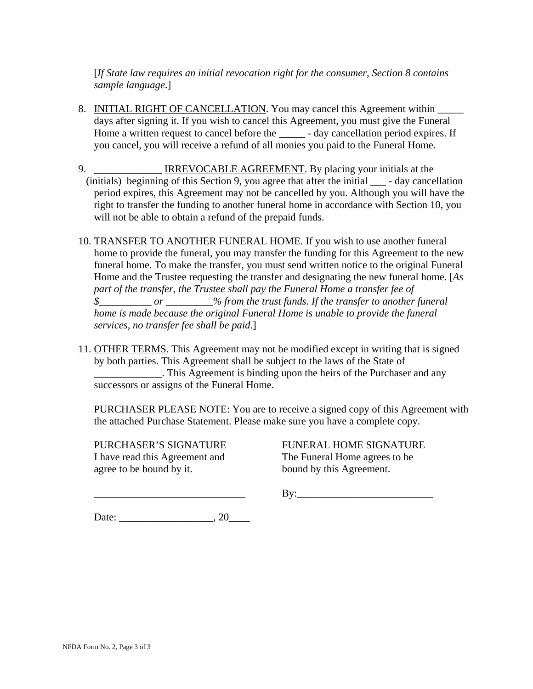[*If State law requires an initial revocation right for the consumer, Section 8 contains sample language*.]

- 8. INITIAL RIGHT OF CANCELLATION. You may cancel this Agreement within days after signing it. If you wish to cancel this Agreement, you must give the Funeral Home a written request to cancel before the \_\_\_\_\_ - day cancellation period expires. If you cancel, you will receive a refund of all monies you paid to the Funeral Home.
- 9. \_\_\_\_\_\_\_\_\_\_\_\_\_ IRREVOCABLE AGREEMENT. By placing your initials at the (initials) beginning of this Section 9, you agree that after the initial \_\_\_ - day cancellation period expires, this Agreement may not be cancelled by you. Although you will have the right to transfer the funding to another funeral home in accordance with Section 10, you will not be able to obtain a refund of the prepaid funds.
- 10. TRANSFER TO ANOTHER FUNERAL HOME. If you wish to use another funeral home to provide the funeral, you may transfer the funding for this Agreement to the new funeral home. To make the transfer, you must send written notice to the original Funeral Home and the Trustee requesting the transfer and designating the new funeral home. [*As part of the transfer, the Trustee shall pay the Funeral Home a transfer fee of \$\_\_\_\_\_\_\_\_\_\_ or \_\_\_\_\_\_\_\_\_% from the trust funds. If the transfer to another funeral home is made because the original Funeral Home is unable to provide the funeral services, no transfer fee shall be paid*.]
- 11. OTHER TERMS. This Agreement may not be modified except in writing that is signed by both parties. This Agreement shall be subject to the laws of the State of \_\_\_\_\_\_\_\_\_\_\_\_\_. This Agreement is binding upon the heirs of the Purchaser and any successors or assigns of the Funeral Home.

PURCHASER PLEASE NOTE: You are to receive a signed copy of this Agreement with the attached Purchase Statement. Please make sure you have a complete copy.

I have read this Agreement and The Funeral Home agrees to be agree to be bound by it. bound by this Agreement.

PURCHASER'S SIGNATURE FUNERAL HOME SIGNATURE

 $\rm\,By:\,$ 

Date:  $\qquad \qquad \qquad .20$ 

NFDA Form No. 2, Page 3 of 3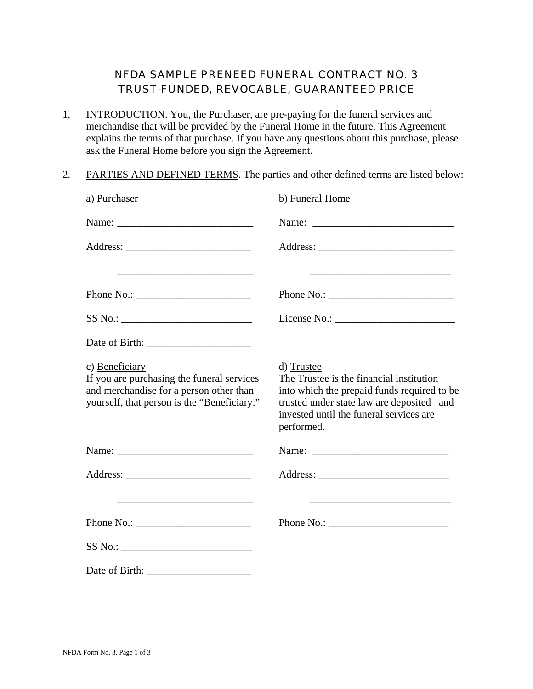#### NFDA SAMPLE PRENEED FUNERAL CONTRACT NO. 3 TRUST-FUNDED, REVOCABLE, GUARANTEED PRICE

- 1. INTRODUCTION. You, the Purchaser, are pre-paying for the funeral services and merchandise that will be provided by the Funeral Home in the future. This Agreement explains the terms of that purchase. If you have any questions about this purchase, please ask the Funeral Home before you sign the Agreement.
- 2. PARTIES AND DEFINED TERMS. The parties and other defined terms are listed below:

| a) Purchaser                                                                                                                                                                                                                                                                                                                                                                                                                                     | b) Funeral Home                                                                                                                                                                                             |
|--------------------------------------------------------------------------------------------------------------------------------------------------------------------------------------------------------------------------------------------------------------------------------------------------------------------------------------------------------------------------------------------------------------------------------------------------|-------------------------------------------------------------------------------------------------------------------------------------------------------------------------------------------------------------|
|                                                                                                                                                                                                                                                                                                                                                                                                                                                  |                                                                                                                                                                                                             |
|                                                                                                                                                                                                                                                                                                                                                                                                                                                  |                                                                                                                                                                                                             |
|                                                                                                                                                                                                                                                                                                                                                                                                                                                  |                                                                                                                                                                                                             |
|                                                                                                                                                                                                                                                                                                                                                                                                                                                  |                                                                                                                                                                                                             |
| $SS No.: \begin{tabular}{ c c c } \hline \multicolumn{3}{ c }{\textbf{S}} & & & \multicolumn{3}{ c }{\textbf{S}} & & \multicolumn{3}{ c }{\textbf{S}} & & \multicolumn{3}{ c }{\textbf{S}} & & \multicolumn{3}{ c }{\textbf{S}} & & \multicolumn{3}{ c }{\textbf{S}} & & \multicolumn{3}{ c }{\textbf{S}} & & \multicolumn{3}{ c }{\textbf{S}} & & \multicolumn{3}{ c }{\textbf{S}} & & \multicolumn{3}{ c }{\textbf{S}} & & \multicolumn{3}{ c$ |                                                                                                                                                                                                             |
| Date of Birth: $\frac{1}{\frac{1}{2} \cdot \frac{1}{2} \cdot \frac{1}{2} \cdot \frac{1}{2} \cdot \frac{1}{2} \cdot \frac{1}{2} \cdot \frac{1}{2} \cdot \frac{1}{2} \cdot \frac{1}{2} \cdot \frac{1}{2} \cdot \frac{1}{2} \cdot \frac{1}{2} \cdot \frac{1}{2} \cdot \frac{1}{2} \cdot \frac{1}{2} \cdot \frac{1}{2} \cdot \frac{1}{2} \cdot \frac{1}{2} \cdot \frac{1}{2} \cdot \frac{1}{2} \cdot \frac{1}{2} \cdot \frac{1}{2} \cdot \frac$      |                                                                                                                                                                                                             |
| c) Beneficiary<br>If you are purchasing the funeral services<br>and merchandise for a person other than<br>yourself, that person is the "Beneficiary."                                                                                                                                                                                                                                                                                           | d) Trustee<br>The Trustee is the financial institution<br>into which the prepaid funds required to be<br>trusted under state law are deposited and<br>invested until the funeral services are<br>performed. |
|                                                                                                                                                                                                                                                                                                                                                                                                                                                  |                                                                                                                                                                                                             |
|                                                                                                                                                                                                                                                                                                                                                                                                                                                  |                                                                                                                                                                                                             |
|                                                                                                                                                                                                                                                                                                                                                                                                                                                  |                                                                                                                                                                                                             |
| Phone No.: $\_$                                                                                                                                                                                                                                                                                                                                                                                                                                  |                                                                                                                                                                                                             |
|                                                                                                                                                                                                                                                                                                                                                                                                                                                  |                                                                                                                                                                                                             |
|                                                                                                                                                                                                                                                                                                                                                                                                                                                  |                                                                                                                                                                                                             |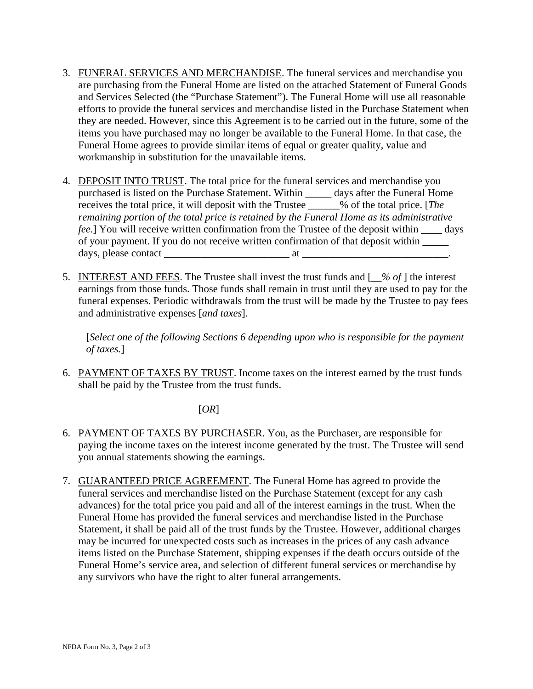- 3. FUNERAL SERVICES AND MERCHANDISE. The funeral services and merchandise you are purchasing from the Funeral Home are listed on the attached Statement of Funeral Goods and Services Selected (the "Purchase Statement"). The Funeral Home will use all reasonable efforts to provide the funeral services and merchandise listed in the Purchase Statement when they are needed. However, since this Agreement is to be carried out in the future, some of the items you have purchased may no longer be available to the Funeral Home. In that case, the Funeral Home agrees to provide similar items of equal or greater quality, value and workmanship in substitution for the unavailable items.
- 4. DEPOSIT INTO TRUST. The total price for the funeral services and merchandise you purchased is listed on the Purchase Statement. Within \_\_\_\_\_ days after the Funeral Home receives the total price, it will deposit with the Trustee \_\_\_\_\_\_% of the total price. [*The remaining portion of the total price is retained by the Funeral Home as its administrative fee.*] You will receive written confirmation from the Trustee of the deposit within \_\_\_\_ days of your payment. If you do not receive written confirmation of that deposit within \_\_\_\_\_ days, please contact \_\_\_\_\_\_\_\_\_\_\_\_\_\_\_\_\_\_\_\_\_\_\_\_ at \_\_\_\_\_\_\_\_\_\_\_\_\_\_\_\_\_\_\_\_\_\_\_\_\_\_\_\_.
- 5. INTEREST AND FEES. The Trustee shall invest the trust funds and [*\_\_% of* ] the interest earnings from those funds. Those funds shall remain in trust until they are used to pay for the funeral expenses. Periodic withdrawals from the trust will be made by the Trustee to pay fees and administrative expenses [*and taxes*].

[*Select one of the following Sections 6 depending upon who is responsible for the payment of taxes.*]

6. PAYMENT OF TAXES BY TRUST. Income taxes on the interest earned by the trust funds shall be paid by the Trustee from the trust funds.

#### [*OR*]

- 6. PAYMENT OF TAXES BY PURCHASER. You, as the Purchaser, are responsible for paying the income taxes on the interest income generated by the trust. The Trustee will send you annual statements showing the earnings.
- 7. GUARANTEED PRICE AGREEMENT. The Funeral Home has agreed to provide the funeral services and merchandise listed on the Purchase Statement (except for any cash advances) for the total price you paid and all of the interest earnings in the trust. When the Funeral Home has provided the funeral services and merchandise listed in the Purchase Statement, it shall be paid all of the trust funds by the Trustee. However, additional charges may be incurred for unexpected costs such as increases in the prices of any cash advance items listed on the Purchase Statement, shipping expenses if the death occurs outside of the Funeral Home's service area, and selection of different funeral services or merchandise by any survivors who have the right to alter funeral arrangements.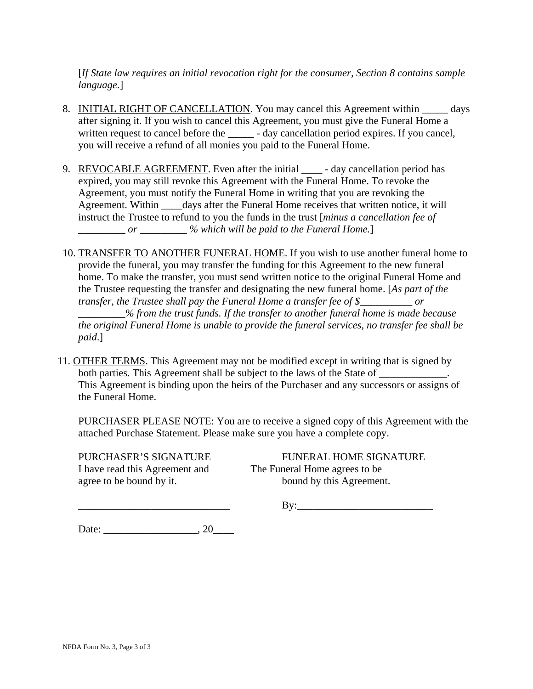[*If State law requires an initial revocation right for the consumer, Section 8 contains sample language*.]

- 8. INITIAL RIGHT OF CANCELLATION. You may cancel this Agreement within \_\_\_\_\_ days after signing it. If you wish to cancel this Agreement, you must give the Funeral Home a written request to cancel before the \_\_\_\_\_\_ - day cancellation period expires. If you cancel, you will receive a refund of all monies you paid to the Funeral Home.
- 9. REVOCABLE AGREEMENT. Even after the initial day cancellation period has expired, you may still revoke this Agreement with the Funeral Home. To revoke the Agreement, you must notify the Funeral Home in writing that you are revoking the Agreement. Within \_\_\_\_\_days after the Funeral Home receives that written notice, it will instruct the Trustee to refund to you the funds in the trust [*minus a cancellation fee of \_\_\_\_\_\_\_\_\_ or \_\_\_\_\_\_\_\_\_ % which will be paid to the Funeral Home.*]
- 10. TRANSFER TO ANOTHER FUNERAL HOME. If you wish to use another funeral home to provide the funeral, you may transfer the funding for this Agreement to the new funeral home. To make the transfer, you must send written notice to the original Funeral Home and the Trustee requesting the transfer and designating the new funeral home. [*As part of the transfer, the Trustee shall pay the Funeral Home a transfer fee of \$\_\_\_\_\_\_\_\_\_\_ or \_\_\_\_\_\_\_\_\_% from the trust funds. If the transfer to another funeral home is made because the original Funeral Home is unable to provide the funeral services, no transfer fee shall be paid*.]
- 11. OTHER TERMS. This Agreement may not be modified except in writing that is signed by both parties. This Agreement shall be subject to the laws of the State of This Agreement is binding upon the heirs of the Purchaser and any successors or assigns of the Funeral Home.

PURCHASER PLEASE NOTE: You are to receive a signed copy of this Agreement with the attached Purchase Statement. Please make sure you have a complete copy.

I have read this Agreement and The Funeral Home agrees to be agree to be bound by it. bound by this Agreement.

PURCHASER'S SIGNATURE FUNERAL HOME SIGNATURE

\_\_\_\_\_\_\_\_\_\_\_\_\_\_\_\_\_\_\_\_\_\_\_\_\_\_\_\_\_ By:\_\_\_\_\_\_\_\_\_\_\_\_\_\_\_\_\_\_\_\_\_\_\_\_\_\_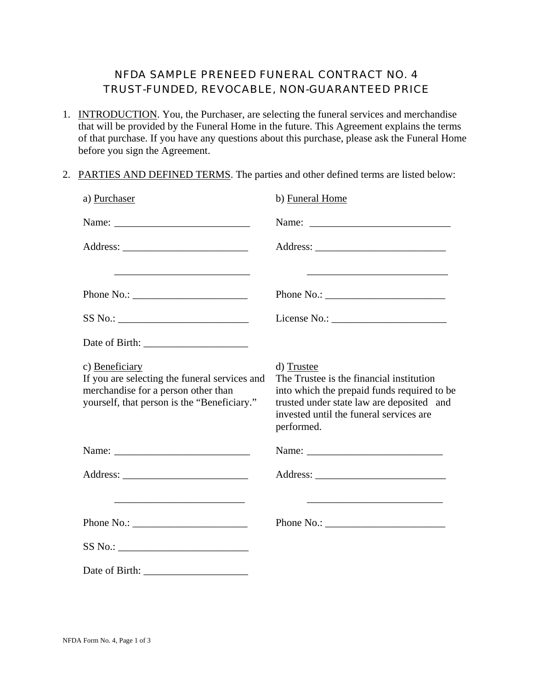#### NFDA SAMPLE PRENEED FUNERAL CONTRACT NO. 4 TRUST-FUNDED, REVOCABLE, NON-GUARANTEED PRICE

- 1. INTRODUCTION. You, the Purchaser, are selecting the funeral services and merchandise that will be provided by the Funeral Home in the future. This Agreement explains the terms of that purchase. If you have any questions about this purchase, please ask the Funeral Home before you sign the Agreement.
- 2. PARTIES AND DEFINED TERMS. The parties and other defined terms are listed below:

| a) Purchaser                                                                                                                                          | b) Funeral Home                                                                                                                                                                                                                                                                                                                                                                                |
|-------------------------------------------------------------------------------------------------------------------------------------------------------|------------------------------------------------------------------------------------------------------------------------------------------------------------------------------------------------------------------------------------------------------------------------------------------------------------------------------------------------------------------------------------------------|
|                                                                                                                                                       |                                                                                                                                                                                                                                                                                                                                                                                                |
|                                                                                                                                                       |                                                                                                                                                                                                                                                                                                                                                                                                |
|                                                                                                                                                       |                                                                                                                                                                                                                                                                                                                                                                                                |
| Phone No.: $\sqrt{\frac{2}{1-\frac{1}{2}} \cdot \frac{1}{2}}$                                                                                         | Phone No.: $\frac{1}{\sqrt{1-\frac{1}{2}}}\left\{ \frac{1}{2} + \frac{1}{2} + \frac{1}{2} + \frac{1}{2} + \frac{1}{2} + \frac{1}{2} + \frac{1}{2} + \frac{1}{2} + \frac{1}{2} + \frac{1}{2} + \frac{1}{2} + \frac{1}{2} + \frac{1}{2} + \frac{1}{2} + \frac{1}{2} + \frac{1}{2} + \frac{1}{2} + \frac{1}{2} + \frac{1}{2} + \frac{1}{2} + \frac{1}{2} + \frac{1}{2} + \frac{1}{2} + \frac{1}{$ |
|                                                                                                                                                       |                                                                                                                                                                                                                                                                                                                                                                                                |
|                                                                                                                                                       |                                                                                                                                                                                                                                                                                                                                                                                                |
| c) Beneficiary<br>If you are selecting the funeral services and<br>merchandise for a person other than<br>yourself, that person is the "Beneficiary." | d) Trustee<br>The Trustee is the financial institution<br>into which the prepaid funds required to be<br>trusted under state law are deposited and<br>invested until the funeral services are<br>performed.                                                                                                                                                                                    |
|                                                                                                                                                       |                                                                                                                                                                                                                                                                                                                                                                                                |
|                                                                                                                                                       |                                                                                                                                                                                                                                                                                                                                                                                                |
|                                                                                                                                                       |                                                                                                                                                                                                                                                                                                                                                                                                |
|                                                                                                                                                       |                                                                                                                                                                                                                                                                                                                                                                                                |
|                                                                                                                                                       |                                                                                                                                                                                                                                                                                                                                                                                                |
|                                                                                                                                                       |                                                                                                                                                                                                                                                                                                                                                                                                |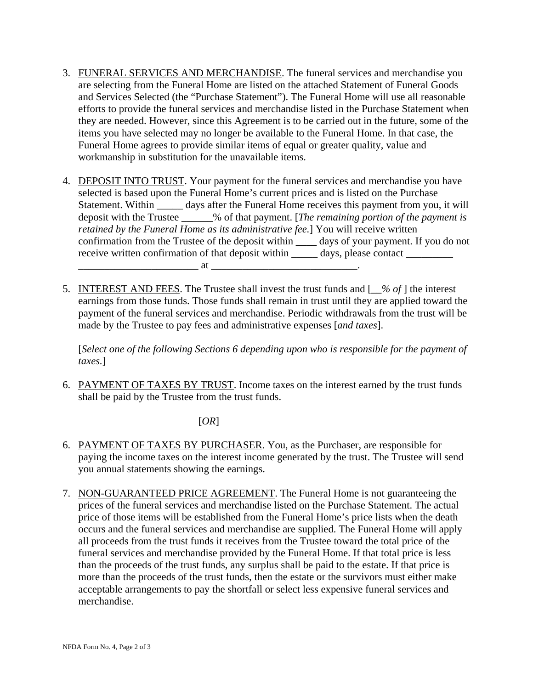- 3. FUNERAL SERVICES AND MERCHANDISE. The funeral services and merchandise you are selecting from the Funeral Home are listed on the attached Statement of Funeral Goods and Services Selected (the "Purchase Statement"). The Funeral Home will use all reasonable efforts to provide the funeral services and merchandise listed in the Purchase Statement when they are needed. However, since this Agreement is to be carried out in the future, some of the items you have selected may no longer be available to the Funeral Home. In that case, the Funeral Home agrees to provide similar items of equal or greater quality, value and workmanship in substitution for the unavailable items.
- 4. DEPOSIT INTO TRUST. Your payment for the funeral services and merchandise you have selected is based upon the Funeral Home's current prices and is listed on the Purchase Statement. Within \_\_\_\_\_ days after the Funeral Home receives this payment from you, it will deposit with the Trustee \_\_\_\_\_\_% of that payment. [*The remaining portion of the payment is retained by the Funeral Home as its administrative fee.*] You will receive written confirmation from the Trustee of the deposit within \_\_\_\_ days of your payment. If you do not receive written confirmation of that deposit within \_\_\_\_\_ days, please contact \_\_\_\_\_\_\_  $\overline{\text{at}}$   $\overline{\text{at}}$
- 5. INTEREST AND FEES. The Trustee shall invest the trust funds and [*\_\_% of* ] the interest earnings from those funds. Those funds shall remain in trust until they are applied toward the payment of the funeral services and merchandise. Periodic withdrawals from the trust will be made by the Trustee to pay fees and administrative expenses [*and taxes*].

[*Select one of the following Sections 6 depending upon who is responsible for the payment of taxes.*]

6. PAYMENT OF TAXES BY TRUST. Income taxes on the interest earned by the trust funds shall be paid by the Trustee from the trust funds.

[*OR*]

- 6. PAYMENT OF TAXES BY PURCHASER. You, as the Purchaser, are responsible for paying the income taxes on the interest income generated by the trust. The Trustee will send you annual statements showing the earnings.
- 7. NON-GUARANTEED PRICE AGREEMENT. The Funeral Home is not guaranteeing the prices of the funeral services and merchandise listed on the Purchase Statement. The actual price of those items will be established from the Funeral Home's price lists when the death occurs and the funeral services and merchandise are supplied. The Funeral Home will apply all proceeds from the trust funds it receives from the Trustee toward the total price of the funeral services and merchandise provided by the Funeral Home. If that total price is less than the proceeds of the trust funds, any surplus shall be paid to the estate. If that price is more than the proceeds of the trust funds, then the estate or the survivors must either make acceptable arrangements to pay the shortfall or select less expensive funeral services and merchandise.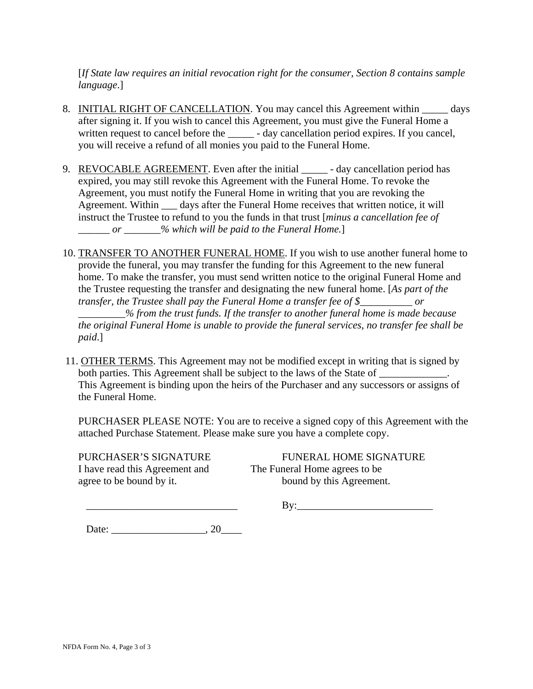[*If State law requires an initial revocation right for the consumer, Section 8 contains sample language*.]

- 8. INITIAL RIGHT OF CANCELLATION. You may cancel this Agreement within \_\_\_\_\_ days after signing it. If you wish to cancel this Agreement, you must give the Funeral Home a written request to cancel before the \_\_\_\_\_\_ - day cancellation period expires. If you cancel, you will receive a refund of all monies you paid to the Funeral Home.
- 9. REVOCABLE AGREEMENT. Even after the initial day cancellation period has expired, you may still revoke this Agreement with the Funeral Home. To revoke the Agreement, you must notify the Funeral Home in writing that you are revoking the Agreement. Within \_\_\_ days after the Funeral Home receives that written notice, it will instruct the Trustee to refund to you the funds in that trust [*minus a cancellation fee of \_\_\_\_\_\_ or \_\_\_\_\_\_\_% which will be paid to the Funeral Home.*]
- 10. TRANSFER TO ANOTHER FUNERAL HOME. If you wish to use another funeral home to provide the funeral, you may transfer the funding for this Agreement to the new funeral home. To make the transfer, you must send written notice to the original Funeral Home and the Trustee requesting the transfer and designating the new funeral home. [*As part of the transfer, the Trustee shall pay the Funeral Home a transfer fee of \$\_\_\_\_\_\_\_\_\_\_ or \_\_\_\_\_\_\_\_\_% from the trust funds. If the transfer to another funeral home is made because the original Funeral Home is unable to provide the funeral services, no transfer fee shall be paid*.]
- 11. OTHER TERMS. This Agreement may not be modified except in writing that is signed by both parties. This Agreement shall be subject to the laws of the State of This Agreement is binding upon the heirs of the Purchaser and any successors or assigns of the Funeral Home.

PURCHASER PLEASE NOTE: You are to receive a signed copy of this Agreement with the attached Purchase Statement. Please make sure you have a complete copy.

I have read this Agreement and The Funeral Home agrees to be agree to be bound by it. bound by this Agreement.

PURCHASER'S SIGNATURE FUNERAL HOME SIGNATURE

\_\_\_\_\_\_\_\_\_\_\_\_\_\_\_\_\_\_\_\_\_\_\_\_\_\_\_\_\_ By:\_\_\_\_\_\_\_\_\_\_\_\_\_\_\_\_\_\_\_\_\_\_\_\_\_\_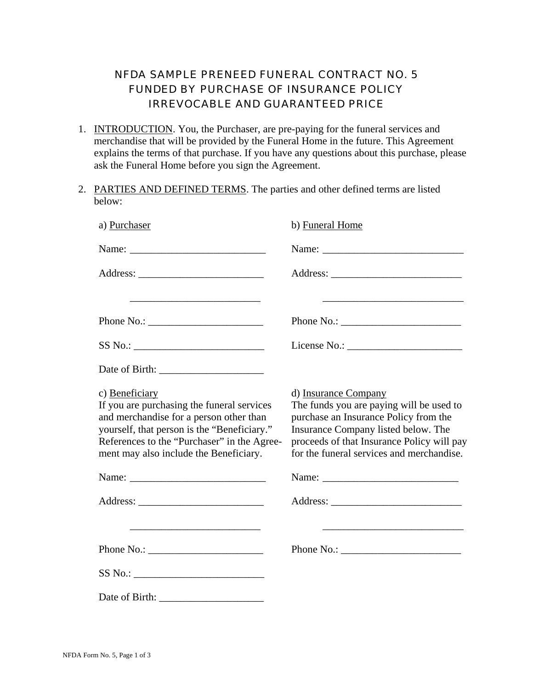## NFDA SAMPLE PRENEED FUNERAL CONTRACT NO. 5 FUNDED BY PURCHASE OF INSURANCE POLICY IRREVOCABLE AND GUARANTEED PRICE

- 1. INTRODUCTION. You, the Purchaser, are pre-paying for the funeral services and merchandise that will be provided by the Funeral Home in the future. This Agreement explains the terms of that purchase. If you have any questions about this purchase, please ask the Funeral Home before you sign the Agreement.
- 2. PARTIES AND DEFINED TERMS. The parties and other defined terms are listed below:

| a) Purchaser                                                                                                                                                                                                                                    | b) Funeral Home                                                                                                                                                                                                                             |
|-------------------------------------------------------------------------------------------------------------------------------------------------------------------------------------------------------------------------------------------------|---------------------------------------------------------------------------------------------------------------------------------------------------------------------------------------------------------------------------------------------|
|                                                                                                                                                                                                                                                 |                                                                                                                                                                                                                                             |
|                                                                                                                                                                                                                                                 |                                                                                                                                                                                                                                             |
|                                                                                                                                                                                                                                                 |                                                                                                                                                                                                                                             |
| Phone No.: $\sqrt{\frac{2}{1-\frac{1}{2}} \cdot \frac{1}{2-\frac{1}{2}} \cdot \frac{1}{2-\frac{1}{2}} \cdot \frac{1}{2-\frac{1}{2}} \cdot \frac{1}{2-\frac{1}{2}}}$                                                                             | Phone No.: $\frac{1}{2}$                                                                                                                                                                                                                    |
| SS No.:                                                                                                                                                                                                                                         |                                                                                                                                                                                                                                             |
|                                                                                                                                                                                                                                                 |                                                                                                                                                                                                                                             |
| c) Beneficiary<br>If you are purchasing the funeral services<br>and merchandise for a person other than<br>yourself, that person is the "Beneficiary."<br>References to the "Purchaser" in the Agree-<br>ment may also include the Beneficiary. | d) Insurance Company<br>The funds you are paying will be used to<br>purchase an Insurance Policy from the<br>Insurance Company listed below. The<br>proceeds of that Insurance Policy will pay<br>for the funeral services and merchandise. |
|                                                                                                                                                                                                                                                 |                                                                                                                                                                                                                                             |
|                                                                                                                                                                                                                                                 |                                                                                                                                                                                                                                             |
| <u> 1989 - Johann Stein, marwolaethau a bhann an t-Amhair an t-Amhair an t-Amhair an t-Amhair an t-Amhair an t-A</u>                                                                                                                            |                                                                                                                                                                                                                                             |
| Phone No.: $\overline{\phantom{a}}$                                                                                                                                                                                                             |                                                                                                                                                                                                                                             |
|                                                                                                                                                                                                                                                 |                                                                                                                                                                                                                                             |
|                                                                                                                                                                                                                                                 |                                                                                                                                                                                                                                             |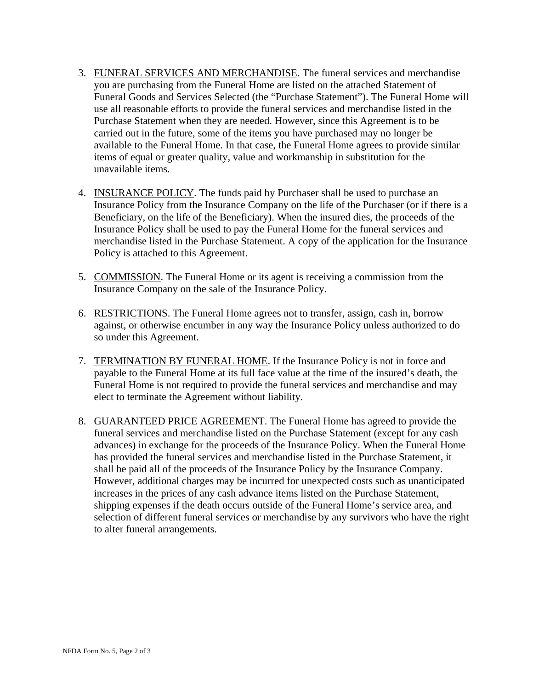- 3. FUNERAL SERVICES AND MERCHANDISE. The funeral services and merchandise you are purchasing from the Funeral Home are listed on the attached Statement of Funeral Goods and Services Selected (the "Purchase Statement"). The Funeral Home will use all reasonable efforts to provide the funeral services and merchandise listed in the Purchase Statement when they are needed. However, since this Agreement is to be carried out in the future, some of the items you have purchased may no longer be available to the Funeral Home. In that case, the Funeral Home agrees to provide similar items of equal or greater quality, value and workmanship in substitution for the unavailable items.
- 4. INSURANCE POLICY. The funds paid by Purchaser shall be used to purchase an Insurance Policy from the Insurance Company on the life of the Purchaser (or if there is a Beneficiary, on the life of the Beneficiary). When the insured dies, the proceeds of the Insurance Policy shall be used to pay the Funeral Home for the funeral services and merchandise listed in the Purchase Statement. A copy of the application for the Insurance Policy is attached to this Agreement.
- 5. COMMISSION. The Funeral Home or its agent is receiving a commission from the Insurance Company on the sale of the Insurance Policy.
- 6. RESTRICTIONS. The Funeral Home agrees not to transfer, assign, cash in, borrow against, or otherwise encumber in any way the Insurance Policy unless authorized to do so under this Agreement.
- 7. TERMINATION BY FUNERAL HOME. If the Insurance Policy is not in force and payable to the Funeral Home at its full face value at the time of the insured's death, the Funeral Home is not required to provide the funeral services and merchandise and may elect to terminate the Agreement without liability.
- 8. GUARANTEED PRICE AGREEMENT. The Funeral Home has agreed to provide the funeral services and merchandise listed on the Purchase Statement (except for any cash advances) in exchange for the proceeds of the Insurance Policy. When the Funeral Home has provided the funeral services and merchandise listed in the Purchase Statement, it shall be paid all of the proceeds of the Insurance Policy by the Insurance Company. However, additional charges may be incurred for unexpected costs such as unanticipated increases in the prices of any cash advance items listed on the Purchase Statement, shipping expenses if the death occurs outside of the Funeral Home's service area, and selection of different funeral services or merchandise by any survivors who have the right to alter funeral arrangements.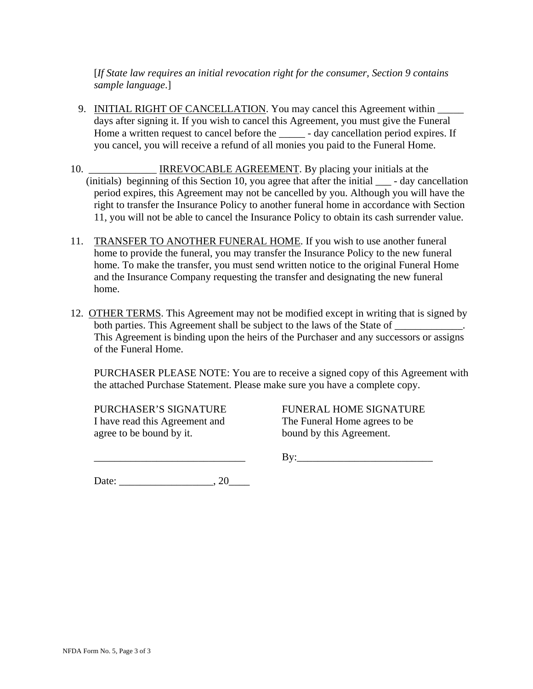[*If State law requires an initial revocation right for the consumer, Section 9 contains sample language*.]

- 9. INITIAL RIGHT OF CANCELLATION. You may cancel this Agreement within days after signing it. If you wish to cancel this Agreement, you must give the Funeral Home a written request to cancel before the \_\_\_\_\_ - day cancellation period expires. If you cancel, you will receive a refund of all monies you paid to the Funeral Home.
- 10. **IRREVOCABLE AGREEMENT.** By placing your initials at the (initials) beginning of this Section 10, you agree that after the initial \_\_\_ - day cancellation period expires, this Agreement may not be cancelled by you. Although you will have the right to transfer the Insurance Policy to another funeral home in accordance with Section 11, you will not be able to cancel the Insurance Policy to obtain its cash surrender value.
- 11. TRANSFER TO ANOTHER FUNERAL HOME. If you wish to use another funeral home to provide the funeral, you may transfer the Insurance Policy to the new funeral home. To make the transfer, you must send written notice to the original Funeral Home and the Insurance Company requesting the transfer and designating the new funeral home.
- 12. OTHER TERMS. This Agreement may not be modified except in writing that is signed by both parties. This Agreement shall be subject to the laws of the State of  $\Box$ This Agreement is binding upon the heirs of the Purchaser and any successors or assigns of the Funeral Home.

PURCHASER PLEASE NOTE: You are to receive a signed copy of this Agreement with the attached Purchase Statement. Please make sure you have a complete copy.

I have read this Agreement and The Funeral Home agrees to be agree to be bound by it. bound by this Agreement.

PURCHASER'S SIGNATURE FUNERAL HOME SIGNATURE

\_\_\_\_\_\_\_\_\_\_\_\_\_\_\_\_\_\_\_\_\_\_\_\_\_\_\_\_\_ By:\_\_\_\_\_\_\_\_\_\_\_\_\_\_\_\_\_\_\_\_\_\_\_\_\_\_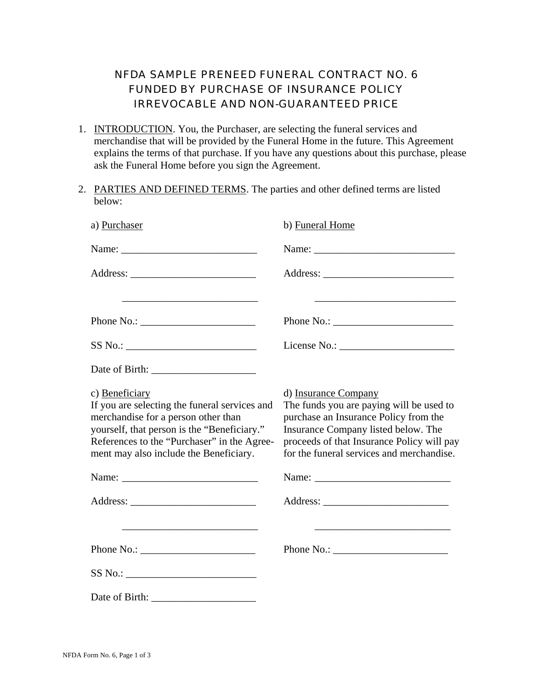## NFDA SAMPLE PRENEED FUNERAL CONTRACT NO. 6 FUNDED BY PURCHASE OF INSURANCE POLICY IRREVOCABLE AND NON-GUARANTEED PRICE

- 1. INTRODUCTION. You, the Purchaser, are selecting the funeral services and merchandise that will be provided by the Funeral Home in the future. This Agreement explains the terms of that purchase. If you have any questions about this purchase, please ask the Funeral Home before you sign the Agreement.
- 2. PARTIES AND DEFINED TERMS. The parties and other defined terms are listed below:

| a) Purchaser                                                                                                                                                                                                                                   | b) Funeral Home                                                                                                                                                                                                                             |
|------------------------------------------------------------------------------------------------------------------------------------------------------------------------------------------------------------------------------------------------|---------------------------------------------------------------------------------------------------------------------------------------------------------------------------------------------------------------------------------------------|
|                                                                                                                                                                                                                                                |                                                                                                                                                                                                                                             |
|                                                                                                                                                                                                                                                |                                                                                                                                                                                                                                             |
| <u> 1989 - Johann John Stone, markin film yn y brening yn y brening yn y brening yn y brening yn y brening y bre</u>                                                                                                                           | <u> 1989 - Johann Harry Harry Harry Harry Harry Harry Harry Harry Harry Harry Harry Harry Harry Harry Harry Harry</u>                                                                                                                       |
| Phone No.:                                                                                                                                                                                                                                     |                                                                                                                                                                                                                                             |
| SS No.:                                                                                                                                                                                                                                        |                                                                                                                                                                                                                                             |
|                                                                                                                                                                                                                                                |                                                                                                                                                                                                                                             |
| c) Beneficiary<br>If you are selecting the funeral services and<br>merchandise for a person other than<br>yourself, that person is the "Beneficiary."<br>References to the "Purchaser" in the Agree-<br>ment may also include the Beneficiary. | d) Insurance Company<br>The funds you are paying will be used to<br>purchase an Insurance Policy from the<br>Insurance Company listed below. The<br>proceeds of that Insurance Policy will pay<br>for the funeral services and merchandise. |
|                                                                                                                                                                                                                                                |                                                                                                                                                                                                                                             |
|                                                                                                                                                                                                                                                |                                                                                                                                                                                                                                             |
|                                                                                                                                                                                                                                                |                                                                                                                                                                                                                                             |
|                                                                                                                                                                                                                                                |                                                                                                                                                                                                                                             |
|                                                                                                                                                                                                                                                |                                                                                                                                                                                                                                             |
|                                                                                                                                                                                                                                                |                                                                                                                                                                                                                                             |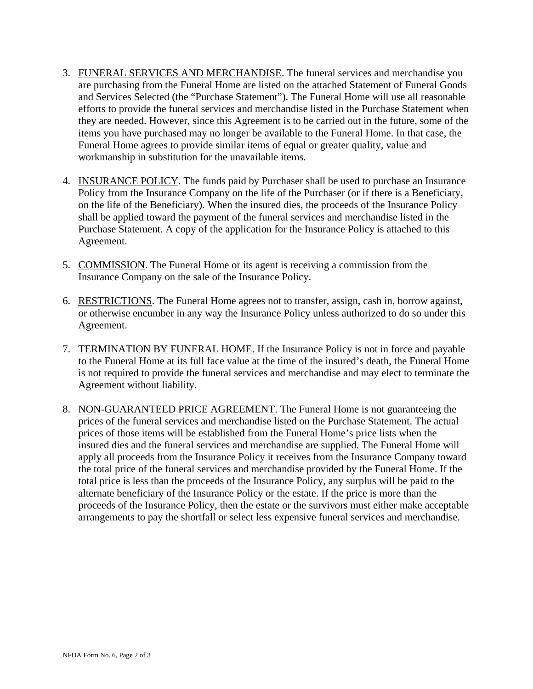- 3. FUNERAL SERVICES AND MERCHANDISE. The funeral services and merchandise you are purchasing from the Funeral Home are listed on the attached Statement of Funeral Goods and Services Selected (the "Purchase Statement"). The Funeral Home will use all reasonable efforts to provide the funeral services and merchandise listed in the Purchase Statement when they are needed. However, since this Agreement is to be carried out in the future, some of the items you have purchased may no longer be available to the Funeral Home. In that case, the Funeral Home agrees to provide similar items of equal or greater quality, value and workmanship in substitution for the unavailable items.
- 4. INSURANCE POLICY. The funds paid by Purchaser shall be used to purchase an Insurance Policy from the Insurance Company on the life of the Purchaser (or if there is a Beneficiary, on the life of the Beneficiary). When the insured dies, the proceeds of the Insurance Policy shall be applied toward the payment of the funeral services and merchandise listed in the Purchase Statement. A copy of the application for the Insurance Policy is attached to this Agreement.
- 5. COMMISSION. The Funeral Home or its agent is receiving a commission from the Insurance Company on the sale of the Insurance Policy.
- 6. RESTRICTIONS. The Funeral Home agrees not to transfer, assign, cash in, borrow against, or otherwise encumber in any way the Insurance Policy unless authorized to do so under this Agreement.
- 7. TERMINATION BY FUNERAL HOME. If the Insurance Policy is not in force and payable to the Funeral Home at its full face value at the time of the insured's death, the Funeral Home is not required to provide the funeral services and merchandise and may elect to terminate the Agreement without liability.
- 8. NON-GUARANTEED PRICE AGREEMENT. The Funeral Home is not guaranteeing the prices of the funeral services and merchandise listed on the Purchase Statement. The actual prices of those items will be established from the Funeral Home's price lists when the insured dies and the funeral services and merchandise are supplied. The Funeral Home will apply all proceeds from the Insurance Policy it receives from the Insurance Company toward the total price of the funeral services and merchandise provided by the Funeral Home. If the total price is less than the proceeds of the Insurance Policy, any surplus will be paid to the alternate beneficiary of the Insurance Policy or the estate. If the price is more than the proceeds of the Insurance Policy, then the estate or the survivors must either make acceptable arrangements to pay the shortfall or select less expensive funeral services and merchandise.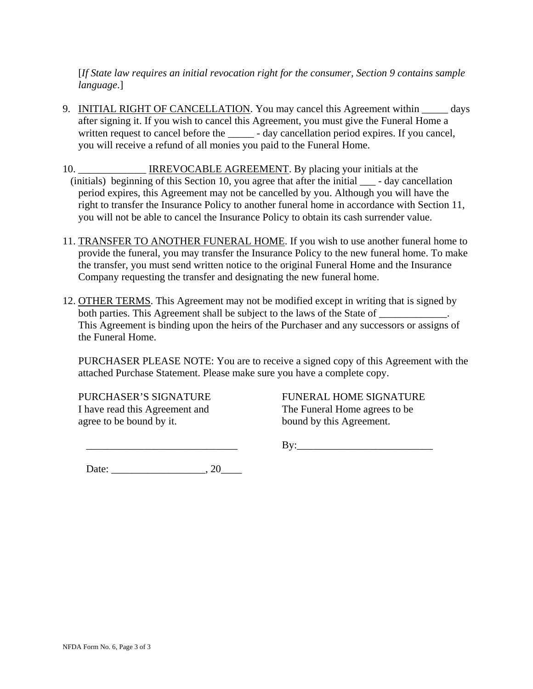[*If State law requires an initial revocation right for the consumer, Section 9 contains sample language*.]

- 9. INITIAL RIGHT OF CANCELLATION. You may cancel this Agreement within \_\_\_\_\_\_ days after signing it. If you wish to cancel this Agreement, you must give the Funeral Home a written request to cancel before the \_\_\_\_\_\_ - day cancellation period expires. If you cancel, you will receive a refund of all monies you paid to the Funeral Home.
- 10. **IRREVOCABLE AGREEMENT.** By placing your initials at the (initials) beginning of this Section 10, you agree that after the initial \_\_\_ - day cancellation period expires, this Agreement may not be cancelled by you. Although you will have the right to transfer the Insurance Policy to another funeral home in accordance with Section 11, you will not be able to cancel the Insurance Policy to obtain its cash surrender value.
- 11. TRANSFER TO ANOTHER FUNERAL HOME. If you wish to use another funeral home to provide the funeral, you may transfer the Insurance Policy to the new funeral home. To make the transfer, you must send written notice to the original Funeral Home and the Insurance Company requesting the transfer and designating the new funeral home.
- 12. OTHER TERMS. This Agreement may not be modified except in writing that is signed by both parties. This Agreement shall be subject to the laws of the State of \_\_\_\_\_\_\_\_\_\_\_. This Agreement is binding upon the heirs of the Purchaser and any successors or assigns of the Funeral Home.

PURCHASER PLEASE NOTE: You are to receive a signed copy of this Agreement with the attached Purchase Statement. Please make sure you have a complete copy.

I have read this Agreement and The Funeral Home agrees to be agree to be bound by it. bound by this Agreement.

PURCHASER'S SIGNATURE FUNERAL HOME SIGNATURE

 $\mathbf{By:}$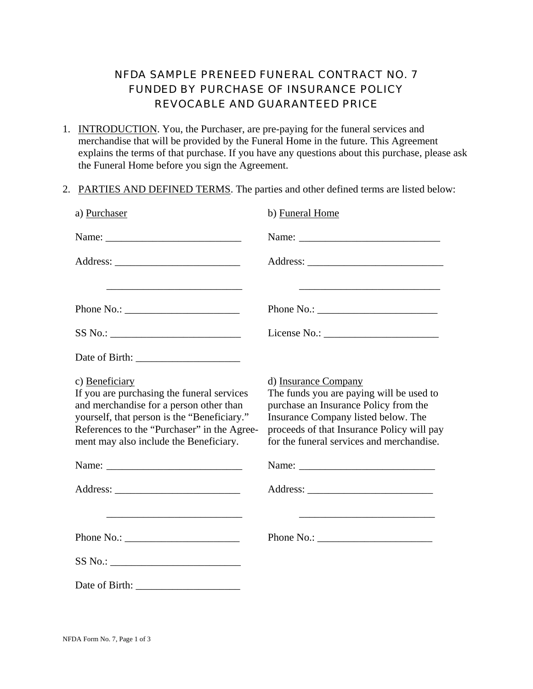## NFDA SAMPLE PRENEED FUNERAL CONTRACT NO. 7 FUNDED BY PURCHASE OF INSURANCE POLICY REVOCABLE AND GUARANTEED PRICE

- 1. INTRODUCTION. You, the Purchaser, are pre-paying for the funeral services and merchandise that will be provided by the Funeral Home in the future. This Agreement explains the terms of that purchase. If you have any questions about this purchase, please ask the Funeral Home before you sign the Agreement.
- 2. PARTIES AND DEFINED TERMS. The parties and other defined terms are listed below:

| a) Purchaser                                                                                                                                                                                                                                                                                                                                                                                                                                     | b) Funeral Home                                                                                                                                                                                                                             |
|--------------------------------------------------------------------------------------------------------------------------------------------------------------------------------------------------------------------------------------------------------------------------------------------------------------------------------------------------------------------------------------------------------------------------------------------------|---------------------------------------------------------------------------------------------------------------------------------------------------------------------------------------------------------------------------------------------|
|                                                                                                                                                                                                                                                                                                                                                                                                                                                  |                                                                                                                                                                                                                                             |
|                                                                                                                                                                                                                                                                                                                                                                                                                                                  |                                                                                                                                                                                                                                             |
|                                                                                                                                                                                                                                                                                                                                                                                                                                                  |                                                                                                                                                                                                                                             |
| Phone No.: $\_$                                                                                                                                                                                                                                                                                                                                                                                                                                  | Phone No.: $\overline{\phantom{a}}$                                                                                                                                                                                                         |
| SS No.:                                                                                                                                                                                                                                                                                                                                                                                                                                          |                                                                                                                                                                                                                                             |
|                                                                                                                                                                                                                                                                                                                                                                                                                                                  |                                                                                                                                                                                                                                             |
| c) Beneficiary<br>If you are purchasing the funeral services<br>and merchandise for a person other than<br>yourself, that person is the "Beneficiary."<br>References to the "Purchaser" in the Agree-<br>ment may also include the Beneficiary.                                                                                                                                                                                                  | d) Insurance Company<br>The funds you are paying will be used to<br>purchase an Insurance Policy from the<br>Insurance Company listed below. The<br>proceeds of that Insurance Policy will pay<br>for the funeral services and merchandise. |
|                                                                                                                                                                                                                                                                                                                                                                                                                                                  |                                                                                                                                                                                                                                             |
|                                                                                                                                                                                                                                                                                                                                                                                                                                                  |                                                                                                                                                                                                                                             |
|                                                                                                                                                                                                                                                                                                                                                                                                                                                  |                                                                                                                                                                                                                                             |
| Phone No.: $\frac{1}{\sqrt{1-\frac{1}{2}}}\left\{ \frac{1}{2} + \frac{1}{2} + \frac{1}{2} + \frac{1}{2} + \frac{1}{2} + \frac{1}{2} + \frac{1}{2} + \frac{1}{2} + \frac{1}{2} + \frac{1}{2} + \frac{1}{2} + \frac{1}{2} + \frac{1}{2} + \frac{1}{2} + \frac{1}{2} + \frac{1}{2} + \frac{1}{2} + \frac{1}{2} + \frac{1}{2} + \frac{1}{2} + \frac{1}{2} + \frac{1}{2} + \frac{1}{2} + \frac{1}{$                                                   | Phone No.: $\qquad \qquad$                                                                                                                                                                                                                  |
| $SS No.: \begin{tabular}{ c c c } \hline \multicolumn{3}{ c }{\textbf{S}} & & & \multicolumn{3}{ c }{\textbf{S}} & & \multicolumn{3}{ c }{\textbf{S}} & & \multicolumn{3}{ c }{\textbf{S}} & & \multicolumn{3}{ c }{\textbf{S}} & & \multicolumn{3}{ c }{\textbf{S}} & & \multicolumn{3}{ c }{\textbf{S}} & & \multicolumn{3}{ c }{\textbf{S}} & & \multicolumn{3}{ c }{\textbf{S}} & & \multicolumn{3}{ c }{\textbf{S}} & & \multicolumn{3}{ c$ |                                                                                                                                                                                                                                             |
|                                                                                                                                                                                                                                                                                                                                                                                                                                                  |                                                                                                                                                                                                                                             |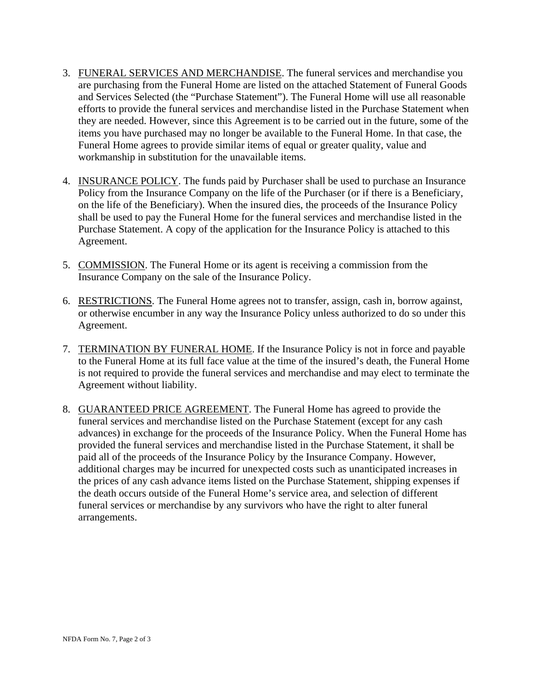- 3. FUNERAL SERVICES AND MERCHANDISE. The funeral services and merchandise you are purchasing from the Funeral Home are listed on the attached Statement of Funeral Goods and Services Selected (the "Purchase Statement"). The Funeral Home will use all reasonable efforts to provide the funeral services and merchandise listed in the Purchase Statement when they are needed. However, since this Agreement is to be carried out in the future, some of the items you have purchased may no longer be available to the Funeral Home. In that case, the Funeral Home agrees to provide similar items of equal or greater quality, value and workmanship in substitution for the unavailable items.
- 4. INSURANCE POLICY. The funds paid by Purchaser shall be used to purchase an Insurance Policy from the Insurance Company on the life of the Purchaser (or if there is a Beneficiary, on the life of the Beneficiary). When the insured dies, the proceeds of the Insurance Policy shall be used to pay the Funeral Home for the funeral services and merchandise listed in the Purchase Statement. A copy of the application for the Insurance Policy is attached to this Agreement.
- 5. COMMISSION. The Funeral Home or its agent is receiving a commission from the Insurance Company on the sale of the Insurance Policy.
- 6. RESTRICTIONS. The Funeral Home agrees not to transfer, assign, cash in, borrow against, or otherwise encumber in any way the Insurance Policy unless authorized to do so under this Agreement.
- 7. TERMINATION BY FUNERAL HOME. If the Insurance Policy is not in force and payable to the Funeral Home at its full face value at the time of the insured's death, the Funeral Home is not required to provide the funeral services and merchandise and may elect to terminate the Agreement without liability.
- 8. GUARANTEED PRICE AGREEMENT. The Funeral Home has agreed to provide the funeral services and merchandise listed on the Purchase Statement (except for any cash advances) in exchange for the proceeds of the Insurance Policy. When the Funeral Home has provided the funeral services and merchandise listed in the Purchase Statement, it shall be paid all of the proceeds of the Insurance Policy by the Insurance Company. However, additional charges may be incurred for unexpected costs such as unanticipated increases in the prices of any cash advance items listed on the Purchase Statement, shipping expenses if the death occurs outside of the Funeral Home's service area, and selection of different funeral services or merchandise by any survivors who have the right to alter funeral arrangements.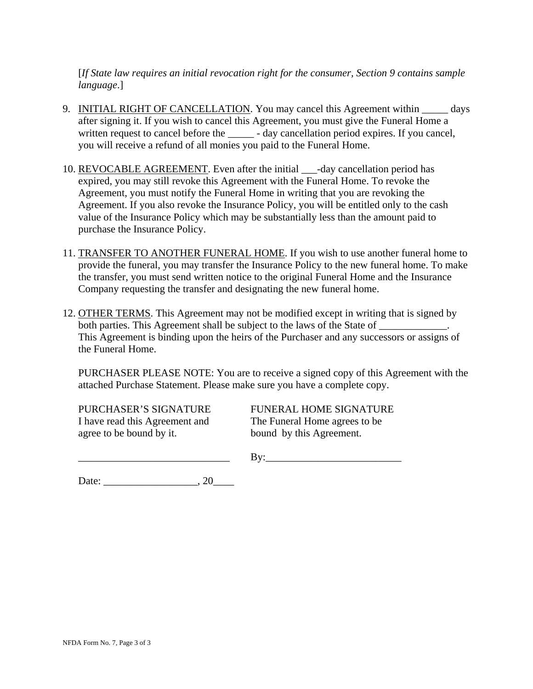[*If State law requires an initial revocation right for the consumer, Section 9 contains sample language*.]

- 9. INITIAL RIGHT OF CANCELLATION. You may cancel this Agreement within \_\_\_\_\_\_ days after signing it. If you wish to cancel this Agreement, you must give the Funeral Home a written request to cancel before the \_\_\_\_\_\_ - day cancellation period expires. If you cancel, you will receive a refund of all monies you paid to the Funeral Home.
- 10. REVOCABLE AGREEMENT. Even after the initial \_\_\_-day cancellation period has expired, you may still revoke this Agreement with the Funeral Home. To revoke the Agreement, you must notify the Funeral Home in writing that you are revoking the Agreement. If you also revoke the Insurance Policy, you will be entitled only to the cash value of the Insurance Policy which may be substantially less than the amount paid to purchase the Insurance Policy.
- 11. TRANSFER TO ANOTHER FUNERAL HOME. If you wish to use another funeral home to provide the funeral, you may transfer the Insurance Policy to the new funeral home. To make the transfer, you must send written notice to the original Funeral Home and the Insurance Company requesting the transfer and designating the new funeral home.
- 12. OTHER TERMS. This Agreement may not be modified except in writing that is signed by both parties. This Agreement shall be subject to the laws of the State of  $\Box$ This Agreement is binding upon the heirs of the Purchaser and any successors or assigns of the Funeral Home.

PURCHASER PLEASE NOTE: You are to receive a signed copy of this Agreement with the attached Purchase Statement. Please make sure you have a complete copy.

PURCHASER'S SIGNATURE FUNERAL HOME SIGNATURE I have read this Agreement and The Funeral Home agrees to be agree to be bound by it. bound by this Agreement.

\_\_\_\_\_\_\_\_\_\_\_\_\_\_\_\_\_\_\_\_\_\_\_\_\_\_\_\_\_ By:\_\_\_\_\_\_\_\_\_\_\_\_\_\_\_\_\_\_\_\_\_\_\_\_\_\_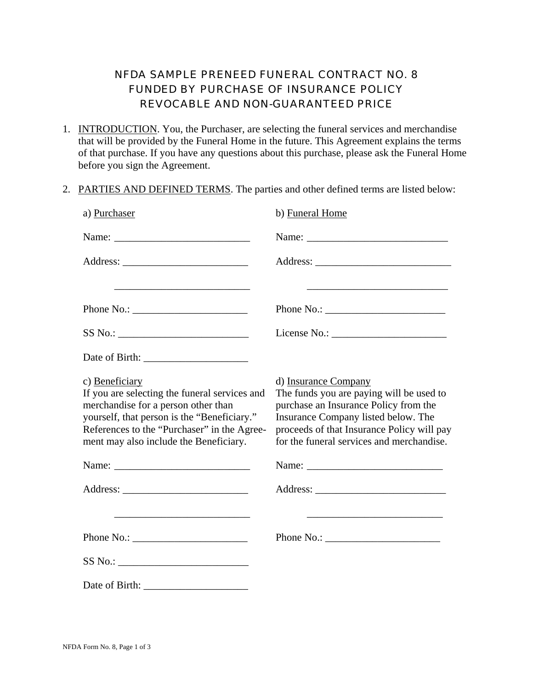## NFDA SAMPLE PRENEED FUNERAL CONTRACT NO. 8 FUNDED BY PURCHASE OF INSURANCE POLICY REVOCABLE AND NON-GUARANTEED PRICE

- 1. INTRODUCTION. You, the Purchaser, are selecting the funeral services and merchandise that will be provided by the Funeral Home in the future. This Agreement explains the terms of that purchase. If you have any questions about this purchase, please ask the Funeral Home before you sign the Agreement.
- 2. PARTIES AND DEFINED TERMS. The parties and other defined terms are listed below:

| a) Purchaser                                                                                                                                                                                                                                   | b) Funeral Home                                                                                                                                                                                                                             |
|------------------------------------------------------------------------------------------------------------------------------------------------------------------------------------------------------------------------------------------------|---------------------------------------------------------------------------------------------------------------------------------------------------------------------------------------------------------------------------------------------|
|                                                                                                                                                                                                                                                |                                                                                                                                                                                                                                             |
|                                                                                                                                                                                                                                                |                                                                                                                                                                                                                                             |
|                                                                                                                                                                                                                                                |                                                                                                                                                                                                                                             |
| Phone No.: $\sqrt{\frac{2}{1-\frac{1}{2}} \cdot \frac{1}{2}}$                                                                                                                                                                                  |                                                                                                                                                                                                                                             |
| SS No.:                                                                                                                                                                                                                                        |                                                                                                                                                                                                                                             |
|                                                                                                                                                                                                                                                |                                                                                                                                                                                                                                             |
| c) Beneficiary<br>If you are selecting the funeral services and<br>merchandise for a person other than<br>yourself, that person is the "Beneficiary."<br>References to the "Purchaser" in the Agree-<br>ment may also include the Beneficiary. | d) Insurance Company<br>The funds you are paying will be used to<br>purchase an Insurance Policy from the<br>Insurance Company listed below. The<br>proceeds of that Insurance Policy will pay<br>for the funeral services and merchandise. |
|                                                                                                                                                                                                                                                |                                                                                                                                                                                                                                             |
|                                                                                                                                                                                                                                                |                                                                                                                                                                                                                                             |
| <u> 1989 - Johann John Stone, mars et al. (</u>                                                                                                                                                                                                | <u> 1980 - Johann Barn, mars an t-Amerikaansk politiker (</u>                                                                                                                                                                               |
| Phone No.: $\qquad \qquad$                                                                                                                                                                                                                     | Phone No.: $\sqrt{\frac{2}{1-\frac{1}{2}} \cdot \frac{1}{2-\frac{1}{2}} \cdot \frac{1}{2-\frac{1}{2}} \cdot \frac{1}{2-\frac{1}{2}} \cdot \frac{1}{2-\frac{1}{2}}}$                                                                         |
|                                                                                                                                                                                                                                                |                                                                                                                                                                                                                                             |
|                                                                                                                                                                                                                                                |                                                                                                                                                                                                                                             |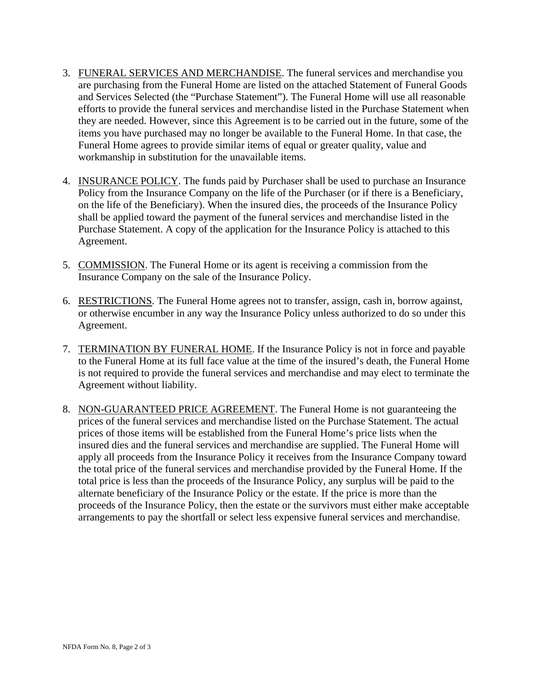- 3. FUNERAL SERVICES AND MERCHANDISE. The funeral services and merchandise you are purchasing from the Funeral Home are listed on the attached Statement of Funeral Goods and Services Selected (the "Purchase Statement"). The Funeral Home will use all reasonable efforts to provide the funeral services and merchandise listed in the Purchase Statement when they are needed. However, since this Agreement is to be carried out in the future, some of the items you have purchased may no longer be available to the Funeral Home. In that case, the Funeral Home agrees to provide similar items of equal or greater quality, value and workmanship in substitution for the unavailable items.
- 4. INSURANCE POLICY. The funds paid by Purchaser shall be used to purchase an Insurance Policy from the Insurance Company on the life of the Purchaser (or if there is a Beneficiary, on the life of the Beneficiary). When the insured dies, the proceeds of the Insurance Policy shall be applied toward the payment of the funeral services and merchandise listed in the Purchase Statement. A copy of the application for the Insurance Policy is attached to this Agreement.
- 5. COMMISSION. The Funeral Home or its agent is receiving a commission from the Insurance Company on the sale of the Insurance Policy.
- 6. RESTRICTIONS. The Funeral Home agrees not to transfer, assign, cash in, borrow against, or otherwise encumber in any way the Insurance Policy unless authorized to do so under this Agreement.
- 7. TERMINATION BY FUNERAL HOME. If the Insurance Policy is not in force and payable to the Funeral Home at its full face value at the time of the insured's death, the Funeral Home is not required to provide the funeral services and merchandise and may elect to terminate the Agreement without liability.
- 8. NON-GUARANTEED PRICE AGREEMENT. The Funeral Home is not guaranteeing the prices of the funeral services and merchandise listed on the Purchase Statement. The actual prices of those items will be established from the Funeral Home's price lists when the insured dies and the funeral services and merchandise are supplied. The Funeral Home will apply all proceeds from the Insurance Policy it receives from the Insurance Company toward the total price of the funeral services and merchandise provided by the Funeral Home. If the total price is less than the proceeds of the Insurance Policy, any surplus will be paid to the alternate beneficiary of the Insurance Policy or the estate. If the price is more than the proceeds of the Insurance Policy, then the estate or the survivors must either make acceptable arrangements to pay the shortfall or select less expensive funeral services and merchandise.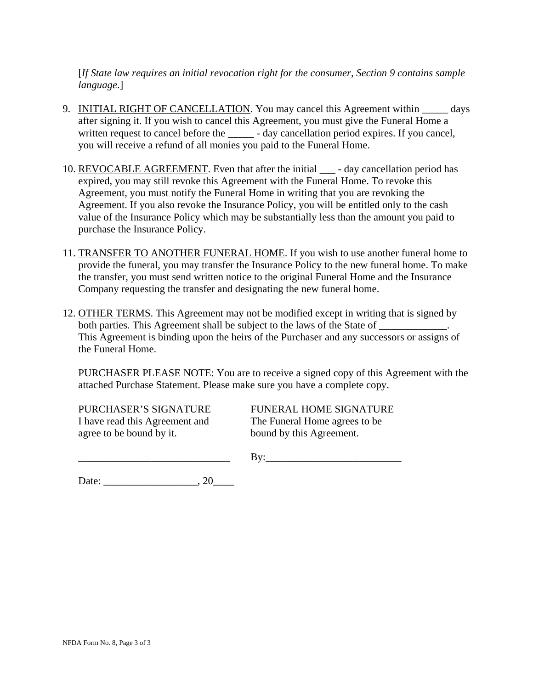[*If State law requires an initial revocation right for the consumer, Section 9 contains sample language*.]

- 9. INITIAL RIGHT OF CANCELLATION. You may cancel this Agreement within \_\_\_\_\_\_ days after signing it. If you wish to cancel this Agreement, you must give the Funeral Home a written request to cancel before the \_\_\_\_\_\_ - day cancellation period expires. If you cancel, you will receive a refund of all monies you paid to the Funeral Home.
- 10. REVOCABLE AGREEMENT. Even that after the initial \_\_\_\_\_ day cancellation period has expired, you may still revoke this Agreement with the Funeral Home. To revoke this Agreement, you must notify the Funeral Home in writing that you are revoking the Agreement. If you also revoke the Insurance Policy, you will be entitled only to the cash value of the Insurance Policy which may be substantially less than the amount you paid to purchase the Insurance Policy.
- 11. TRANSFER TO ANOTHER FUNERAL HOME. If you wish to use another funeral home to provide the funeral, you may transfer the Insurance Policy to the new funeral home. To make the transfer, you must send written notice to the original Funeral Home and the Insurance Company requesting the transfer and designating the new funeral home.
- 12. OTHER TERMS. This Agreement may not be modified except in writing that is signed by both parties. This Agreement shall be subject to the laws of the State of This Agreement is binding upon the heirs of the Purchaser and any successors or assigns of the Funeral Home.

PURCHASER PLEASE NOTE: You are to receive a signed copy of this Agreement with the attached Purchase Statement. Please make sure you have a complete copy.

I have read this Agreement and The Funeral Home agrees to be agree to be bound by it. bound by this Agreement.

PURCHASER'S SIGNATURE FUNERAL HOME SIGNATURE

 $\rm\,By:\,$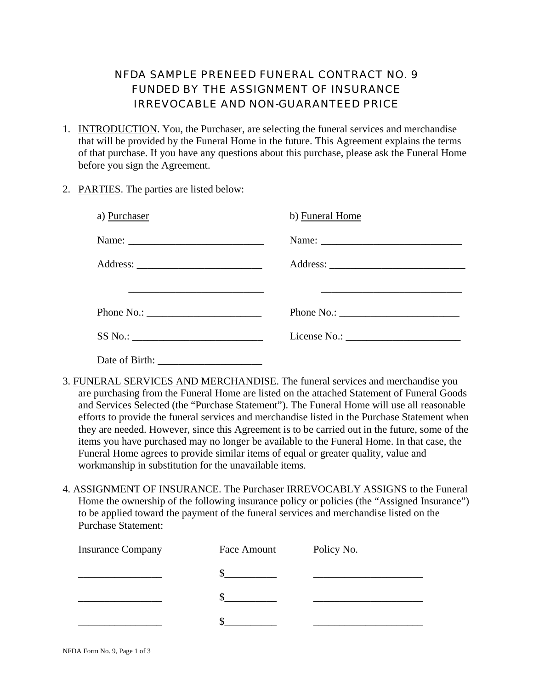#### NFDA SAMPLE PRENEED FUNERAL CONTRACT NO. 9 FUNDED BY THE ASSIGNMENT OF INSURANCE IRREVOCABLE AND NON-GUARANTEED PRICE

- 1. INTRODUCTION. You, the Purchaser, are selecting the funeral services and merchandise that will be provided by the Funeral Home in the future. This Agreement explains the terms of that purchase. If you have any questions about this purchase, please ask the Funeral Home before you sign the Agreement.
- 2. PARTIES. The parties are listed below:

| a) Purchaser                                                                                                                          | b) Funeral Home            |
|---------------------------------------------------------------------------------------------------------------------------------------|----------------------------|
|                                                                                                                                       |                            |
|                                                                                                                                       |                            |
| <u> 1989 - Andrea Stadt Britain, amerikansk politiker (</u>                                                                           |                            |
| Phone No.: $\sqrt{\frac{2}{1-\frac{1}{2}} \cdot \frac{1}{2-\frac{1}{2}} \cdot \frac{1}{2-\frac{1}{2}} \cdot \frac{1}{2-\frac{1}{2}}}$ | Phone No.: $\qquad \qquad$ |
| SS No.:                                                                                                                               |                            |
| Date of Birth:                                                                                                                        |                            |

- 3. FUNERAL SERVICES AND MERCHANDISE. The funeral services and merchandise you are purchasing from the Funeral Home are listed on the attached Statement of Funeral Goods and Services Selected (the "Purchase Statement"). The Funeral Home will use all reasonable efforts to provide the funeral services and merchandise listed in the Purchase Statement when they are needed. However, since this Agreement is to be carried out in the future, some of the items you have purchased may no longer be available to the Funeral Home. In that case, the Funeral Home agrees to provide similar items of equal or greater quality, value and workmanship in substitution for the unavailable items.
- 4. ASSIGNMENT OF INSURANCE. The Purchaser IRREVOCABLY ASSIGNS to the Funeral Home the ownership of the following insurance policy or policies (the "Assigned Insurance") to be applied toward the payment of the funeral services and merchandise listed on the Purchase Statement:

| <b>Insurance Company</b> | Face Amount | Policy No. |
|--------------------------|-------------|------------|
|                          |             |            |
|                          |             |            |
|                          |             |            |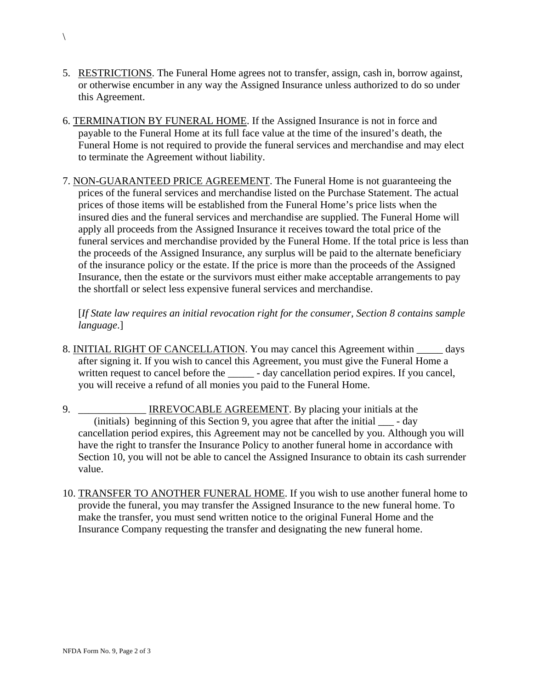- 5. RESTRICTIONS. The Funeral Home agrees not to transfer, assign, cash in, borrow against, or otherwise encumber in any way the Assigned Insurance unless authorized to do so under this Agreement.
- 6. TERMINATION BY FUNERAL HOME. If the Assigned Insurance is not in force and payable to the Funeral Home at its full face value at the time of the insured's death, the Funeral Home is not required to provide the funeral services and merchandise and may elect to terminate the Agreement without liability.
- 7. NON-GUARANTEED PRICE AGREEMENT. The Funeral Home is not guaranteeing the prices of the funeral services and merchandise listed on the Purchase Statement. The actual prices of those items will be established from the Funeral Home's price lists when the insured dies and the funeral services and merchandise are supplied. The Funeral Home will apply all proceeds from the Assigned Insurance it receives toward the total price of the funeral services and merchandise provided by the Funeral Home. If the total price is less than the proceeds of the Assigned Insurance, any surplus will be paid to the alternate beneficiary of the insurance policy or the estate. If the price is more than the proceeds of the Assigned Insurance, then the estate or the survivors must either make acceptable arrangements to pay the shortfall or select less expensive funeral services and merchandise.

[*If State law requires an initial revocation right for the consumer, Section 8 contains sample language*.]

- 8. INITIAL RIGHT OF CANCELLATION. You may cancel this Agreement within \_\_\_\_\_ days after signing it. If you wish to cancel this Agreement, you must give the Funeral Home a written request to cancel before the \_\_\_\_\_\_ - day cancellation period expires. If you cancel, you will receive a refund of all monies you paid to the Funeral Home.
- 9. \_\_\_\_\_\_\_\_\_\_\_\_\_\_\_ IRREVOCABLE AGREEMENT. By placing your initials at the (initials) beginning of this Section 9, you agree that after the initial \_\_\_ - day cancellation period expires, this Agreement may not be cancelled by you. Although you will have the right to transfer the Insurance Policy to another funeral home in accordance with Section 10, you will not be able to cancel the Assigned Insurance to obtain its cash surrender value.
- 10. TRANSFER TO ANOTHER FUNERAL HOME. If you wish to use another funeral home to provide the funeral, you may transfer the Assigned Insurance to the new funeral home. To make the transfer, you must send written notice to the original Funeral Home and the Insurance Company requesting the transfer and designating the new funeral home.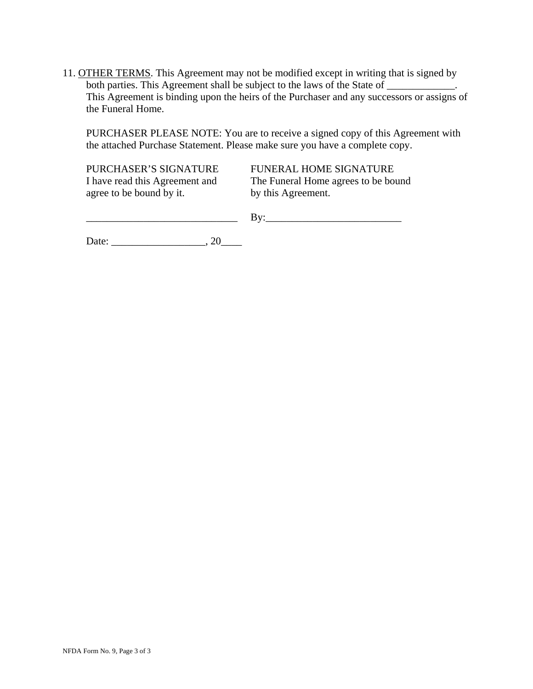11. OTHER TERMS. This Agreement may not be modified except in writing that is signed by both parties. This Agreement shall be subject to the laws of the State of \_\_\_\_\_\_\_\_\_\_\_\_\_ This Agreement is binding upon the heirs of the Purchaser and any successors or assigns of the Funeral Home.

PURCHASER PLEASE NOTE: You are to receive a signed copy of this Agreement with the attached Purchase Statement. Please make sure you have a complete copy.

PURCHASER'S SIGNATURE FUNERAL HOME SIGNATURE I have read this Agreement and The Funeral Home agrees to be bound agree to be bound by it. by this Agreement.

 $\qquad \qquad \text{By:}$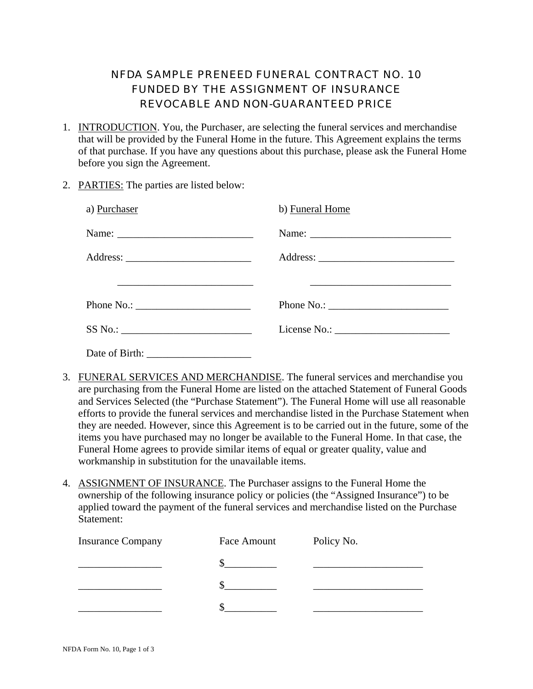## NFDA SAMPLE PRENEED FUNERAL CONTRACT NO. 10 FUNDED BY THE ASSIGNMENT OF INSURANCE REVOCABLE AND NON-GUARANTEED PRICE

- 1. INTRODUCTION. You, the Purchaser, are selecting the funeral services and merchandise that will be provided by the Funeral Home in the future. This Agreement explains the terms of that purchase. If you have any questions about this purchase, please ask the Funeral Home before you sign the Agreement.
- 2. PARTIES: The parties are listed below:

| a) Purchaser                                                                                                         | b) Funeral Home                                                                                                       |
|----------------------------------------------------------------------------------------------------------------------|-----------------------------------------------------------------------------------------------------------------------|
|                                                                                                                      |                                                                                                                       |
|                                                                                                                      |                                                                                                                       |
| <u> 2000 - Jan James James James James James James James James James James James James James James James James J</u> | <u> 1989 - Johann John Stone, marking and de la provincia de la provincia de la provincia de la provincia de la p</u> |
| Phone No.: $\qquad \qquad$                                                                                           | Phone No.: $\frac{1}{\sqrt{1-\frac{1}{2}} \cdot \frac{1}{2}}$                                                         |
| SS No.:                                                                                                              |                                                                                                                       |
|                                                                                                                      |                                                                                                                       |

- 3. FUNERAL SERVICES AND MERCHANDISE. The funeral services and merchandise you are purchasing from the Funeral Home are listed on the attached Statement of Funeral Goods and Services Selected (the "Purchase Statement"). The Funeral Home will use all reasonable efforts to provide the funeral services and merchandise listed in the Purchase Statement when they are needed. However, since this Agreement is to be carried out in the future, some of the items you have purchased may no longer be available to the Funeral Home. In that case, the Funeral Home agrees to provide similar items of equal or greater quality, value and workmanship in substitution for the unavailable items.
- 4. ASSIGNMENT OF INSURANCE. The Purchaser assigns to the Funeral Home the ownership of the following insurance policy or policies (the "Assigned Insurance") to be applied toward the payment of the funeral services and merchandise listed on the Purchase Statement:

| <b>Insurance Company</b> | Face Amount | Policy No. |
|--------------------------|-------------|------------|
|                          |             |            |
|                          |             |            |
|                          |             |            |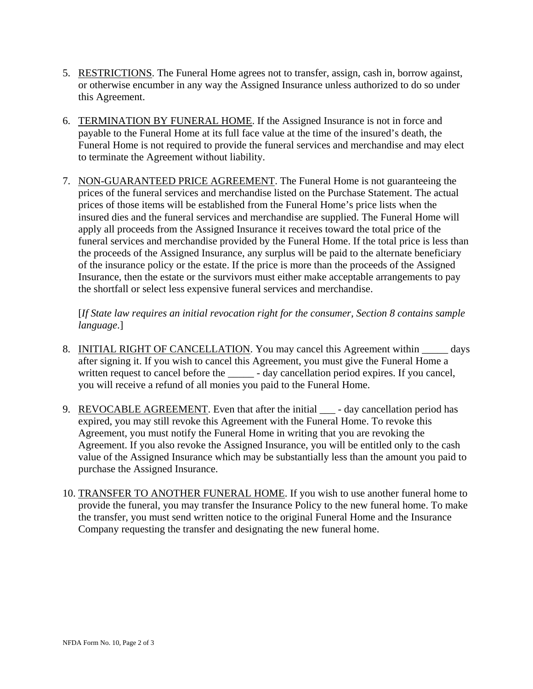- 5. RESTRICTIONS. The Funeral Home agrees not to transfer, assign, cash in, borrow against, or otherwise encumber in any way the Assigned Insurance unless authorized to do so under this Agreement.
- 6. TERMINATION BY FUNERAL HOME. If the Assigned Insurance is not in force and payable to the Funeral Home at its full face value at the time of the insured's death, the Funeral Home is not required to provide the funeral services and merchandise and may elect to terminate the Agreement without liability.
- 7. NON-GUARANTEED PRICE AGREEMENT. The Funeral Home is not guaranteeing the prices of the funeral services and merchandise listed on the Purchase Statement. The actual prices of those items will be established from the Funeral Home's price lists when the insured dies and the funeral services and merchandise are supplied. The Funeral Home will apply all proceeds from the Assigned Insurance it receives toward the total price of the funeral services and merchandise provided by the Funeral Home. If the total price is less than the proceeds of the Assigned Insurance, any surplus will be paid to the alternate beneficiary of the insurance policy or the estate. If the price is more than the proceeds of the Assigned Insurance, then the estate or the survivors must either make acceptable arrangements to pay the shortfall or select less expensive funeral services and merchandise.

[*If State law requires an initial revocation right for the consumer, Section 8 contains sample language*.]

- 8. INITIAL RIGHT OF CANCELLATION. You may cancel this Agreement within \_\_\_\_\_ days after signing it. If you wish to cancel this Agreement, you must give the Funeral Home a written request to cancel before the \_\_\_\_\_\_ - day cancellation period expires. If you cancel, you will receive a refund of all monies you paid to the Funeral Home.
- 9. REVOCABLE AGREEMENT. Even that after the initial \_\_\_ day cancellation period has expired, you may still revoke this Agreement with the Funeral Home. To revoke this Agreement, you must notify the Funeral Home in writing that you are revoking the Agreement. If you also revoke the Assigned Insurance, you will be entitled only to the cash value of the Assigned Insurance which may be substantially less than the amount you paid to purchase the Assigned Insurance.
- 10. TRANSFER TO ANOTHER FUNERAL HOME. If you wish to use another funeral home to provide the funeral, you may transfer the Insurance Policy to the new funeral home. To make the transfer, you must send written notice to the original Funeral Home and the Insurance Company requesting the transfer and designating the new funeral home.